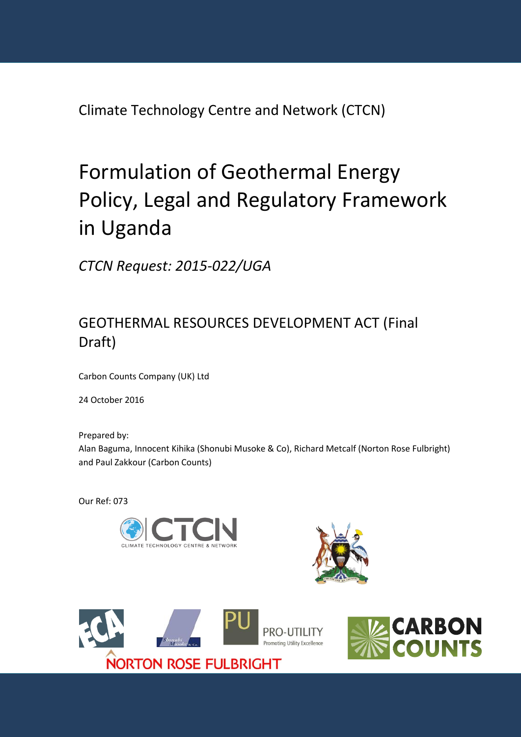Climate Technology Centre and Network (CTCN)

# Formulation of Geothermal Energy Policy, Legal and Regulatory Framework in Uganda

*CTCN Request: 2015-022/UGA*

# GEOTHERMAL RESOURCES DEVELOPMENT ACT (Final Draft)

Carbon Counts Company (UK) Ltd

24 October 2016

Prepared by: Alan Baguma, Innocent Kihika (Shonubi Musoke & Co), Richard Metcalf (Norton Rose Fulbright) and Paul Zakkour (Carbon Counts)

Our Ref: 073







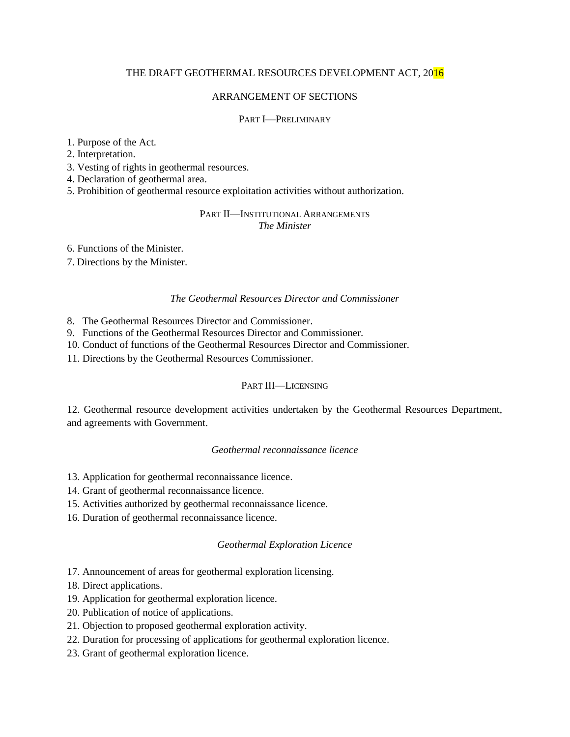# THE DRAFT GEOTHERMAL RESOURCES DEVELOPMENT ACT, 2016

#### ARRANGEMENT OF SECTIONS

#### PART I—PRELIMINARY

#### 1. Purpose of the Act.

2. Interpretation.

3. Vesting of rights in geothermal resources.

4. Declaration of geothermal area.

5. Prohibition of geothermal resource exploitation activities without authorization.

#### PART II—INSTITUTIONAL ARRANGEMENTS *The Minister*

6. Functions of the Minister.

7. Directions by the Minister.

#### *The Geothermal Resources Director and Commissioner*

8. The Geothermal Resources Director and Commissioner.

9. Functions of the Geothermal Resources Director and Commissioner.

10. Conduct of functions of the Geothermal Resources Director and Commissioner.

11. Directions by the Geothermal Resources Commissioner.

#### PART III—LICENSING

12. Geothermal resource development activities undertaken by the Geothermal Resources Department, and agreements with Government.

# *Geothermal reconnaissance licence*

13. Application for geothermal reconnaissance licence.

14. Grant of geothermal reconnaissance licence.

- 15. Activities authorized by geothermal reconnaissance licence.
- 16. Duration of geothermal reconnaissance licence.

#### *Geothermal Exploration Licence*

17. Announcement of areas for geothermal exploration licensing.

18. Direct applications.

- 19. Application for geothermal exploration licence.
- 20. Publication of notice of applications.
- 21. Objection to proposed geothermal exploration activity.
- 22. Duration for processing of applications for geothermal exploration licence.
- 23. Grant of geothermal exploration licence.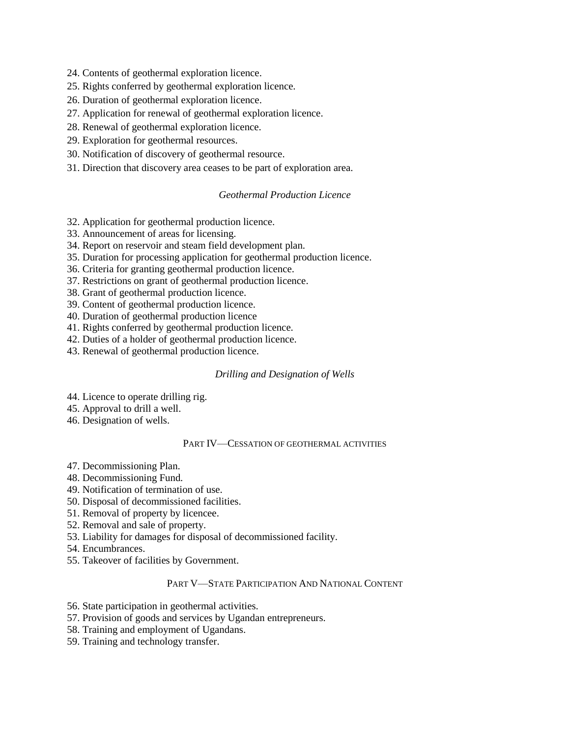24. Contents of geothermal exploration licence.

- 25. Rights conferred by geothermal exploration licence.
- 26. Duration of geothermal exploration licence.
- 27. Application for renewal of geothermal exploration licence.
- 28. Renewal of geothermal exploration licence.
- 29. Exploration for geothermal resources.
- 30. Notification of discovery of geothermal resource.
- 31. Direction that discovery area ceases to be part of exploration area.

#### *Geothermal Production Licence*

- 32. Application for geothermal production licence.
- 33. Announcement of areas for licensing.
- 34. Report on reservoir and steam field development plan.
- 35. Duration for processing application for geothermal production licence.
- 36. Criteria for granting geothermal production licence.
- 37. Restrictions on grant of geothermal production licence.
- 38. Grant of geothermal production licence.
- 39. Content of geothermal production licence.
- 40. Duration of geothermal production licence
- 41. Rights conferred by geothermal production licence.
- 42. Duties of a holder of geothermal production licence.
- 43. Renewal of geothermal production licence.

#### *Drilling and Designation of Wells*

- 44. Licence to operate drilling rig.
- 45. Approval to drill a well.
- 46. Designation of wells.

#### PART IV—CESSATION OF GEOTHERMAL ACTIVITIES

- 47. Decommissioning Plan.
- 48. Decommissioning Fund.
- 49. Notification of termination of use.
- 50. Disposal of decommissioned facilities.
- 51. Removal of property by licencee.
- 52. Removal and sale of property.
- 53. Liability for damages for disposal of decommissioned facility.
- 54. Encumbrances.
- 55. Takeover of facilities by Government.

#### PART V—STATE PARTICIPATION AND NATIONAL CONTENT

- 56. State participation in geothermal activities.
- 57. Provision of goods and services by Ugandan entrepreneurs.
- 58. Training and employment of Ugandans.
- 59. Training and technology transfer.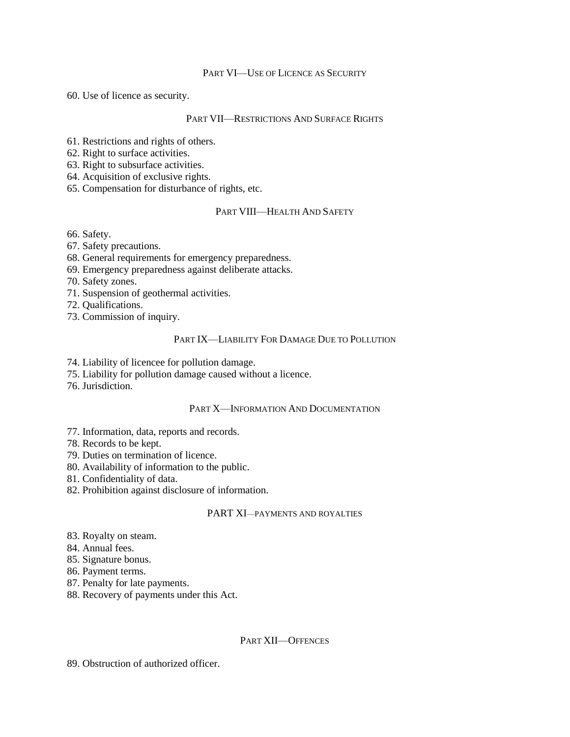#### PART VI—USE OF LICENCE AS SECURITY

60. Use of licence as security.

#### PART VII—RESTRICTIONS AND SURFACE RIGHTS

61. Restrictions and rights of others.

62. Right to surface activities.

63. Right to subsurface activities.

64. Acquisition of exclusive rights.

65. Compensation for disturbance of rights, etc.

# PART VIII—HEALTH AND SAFETY

66. Safety.

67. Safety precautions.

68. General requirements for emergency preparedness.

69. Emergency preparedness against deliberate attacks.

70. Safety zones.

71. Suspension of geothermal activities.

72. Qualifications.

73. Commission of inquiry.

# PART IX—LIABILITY FOR DAMAGE DUE TO POLLUTION

74. Liability of licencee for pollution damage.

75. Liability for pollution damage caused without a licence.

76. Jurisdiction.

#### PART X—INFORMATION AND DOCUMENTATION

77. Information, data, reports and records.

78. Records to be kept.

79. Duties on termination of licence.

80. Availability of information to the public.

81. Confidentiality of data.

82. Prohibition against disclosure of information.

#### PART XI—PAYMENTS AND ROYALTIES

83. Royalty on steam.

84. Annual fees.

85. Signature bonus.

86. Payment terms.

87. Penalty for late payments.

88. Recovery of payments under this Act.

#### PART XII—OFFENCES

89. Obstruction of authorized officer.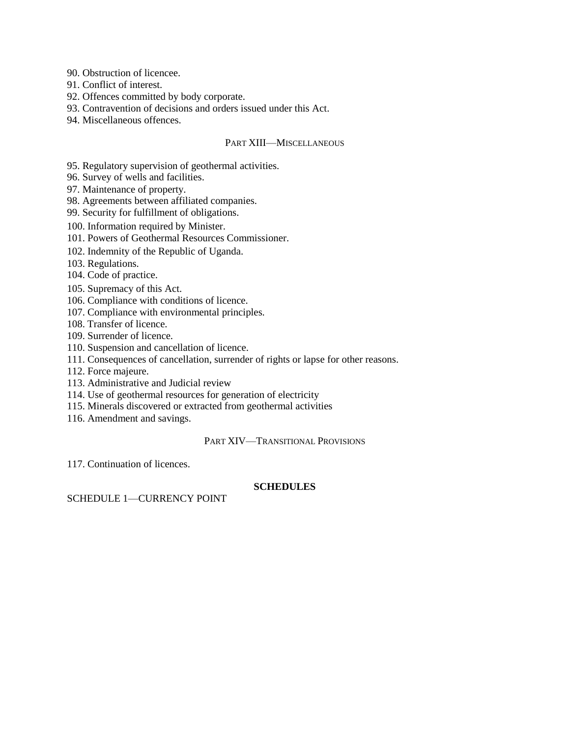90. Obstruction of licencee.

91. Conflict of interest.

92. Offences committed by body corporate.

93. Contravention of decisions and orders issued under this Act.

94. Miscellaneous offences.

#### PART XIII—MISCELLANEOUS

95. Regulatory supervision of geothermal activities.

96. Survey of wells and facilities.

97. Maintenance of property.

98. Agreements between affiliated companies.

99. Security for fulfillment of obligations.

100. Information required by Minister.

101. Powers of Geothermal Resources Commissioner.

102. Indemnity of the Republic of Uganda.

103. Regulations.

104. Code of practice.

105. Supremacy of this Act.

106. Compliance with conditions of licence.

107. Compliance with environmental principles.

108. Transfer of licence.

109. Surrender of licence.

110. Suspension and cancellation of licence.

111. Consequences of cancellation, surrender of rights or lapse for other reasons.

112. Force majeure.

113. Administrative and Judicial review

114. Use of geothermal resources for generation of electricity

115. Minerals discovered or extracted from geothermal activities

116. Amendment and savings.

PART XIV—TRANSITIONAL PROVISIONS

117. Continuation of licences.

#### **SCHEDULES**

SCHEDULE 1—CURRENCY POINT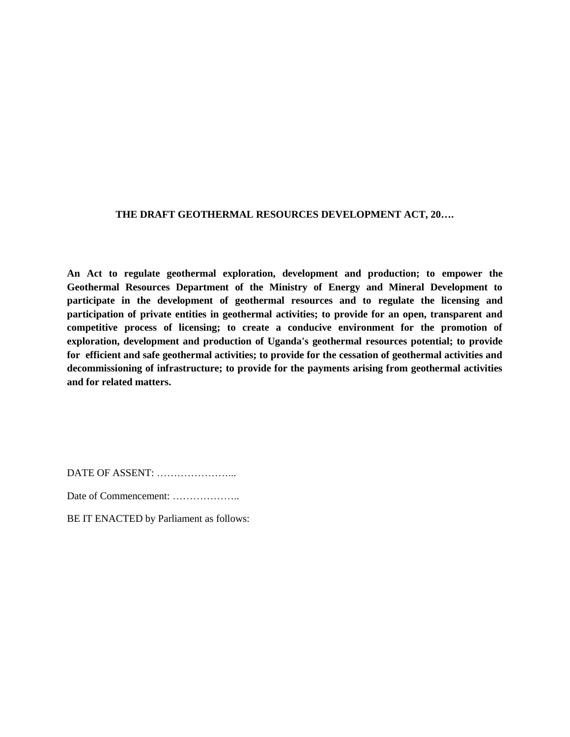# **THE DRAFT GEOTHERMAL RESOURCES DEVELOPMENT ACT, 20….**

**An Act to regulate geothermal exploration, development and production; to empower the Geothermal Resources Department of the Ministry of Energy and Mineral Development to participate in the development of geothermal resources and to regulate the licensing and participation of private entities in geothermal activities; to provide for an open, transparent and competitive process of licensing; to create a conducive environment for the promotion of exploration, development and production of Uganda's geothermal resources potential; to provide for efficient and safe geothermal activities; to provide for the cessation of geothermal activities and decommissioning of infrastructure; to provide for the payments arising from geothermal activities and for related matters.**

DATE OF ASSENT: …………………...

Date of Commencement: ………………..

BE IT ENACTED by Parliament as follows: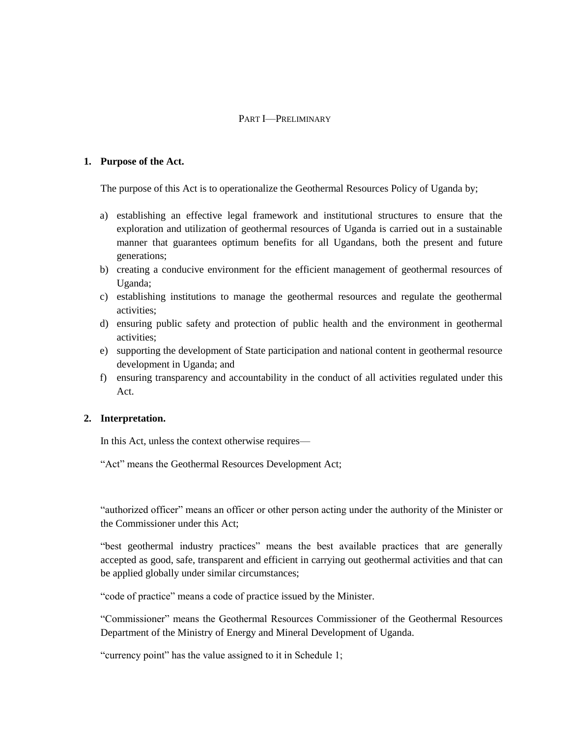# PART I—PRELIMINARY

#### **1. Purpose of the Act.**

The purpose of this Act is to operationalize the Geothermal Resources Policy of Uganda by;

- a) establishing an effective legal framework and institutional structures to ensure that the exploration and utilization of geothermal resources of Uganda is carried out in a sustainable manner that guarantees optimum benefits for all Ugandans, both the present and future generations;
- b) creating a conducive environment for the efficient management of geothermal resources of Uganda;
- c) establishing institutions to manage the geothermal resources and regulate the geothermal activities;
- d) ensuring public safety and protection of public health and the environment in geothermal activities;
- e) supporting the development of State participation and national content in geothermal resource development in Uganda; and
- f) ensuring transparency and accountability in the conduct of all activities regulated under this Act.

# **2. Interpretation.**

In this Act, unless the context otherwise requires—

"Act" means the Geothermal Resources Development Act;

"authorized officer" means an officer or other person acting under the authority of the Minister or the Commissioner under this Act;

"best geothermal industry practices" means the best available practices that are generally accepted as good, safe, transparent and efficient in carrying out geothermal activities and that can be applied globally under similar circumstances;

"code of practice" means a code of practice issued by the Minister.

"Commissioner" means the Geothermal Resources Commissioner of the Geothermal Resources Department of the Ministry of Energy and Mineral Development of Uganda.

"currency point" has the value assigned to it in Schedule 1;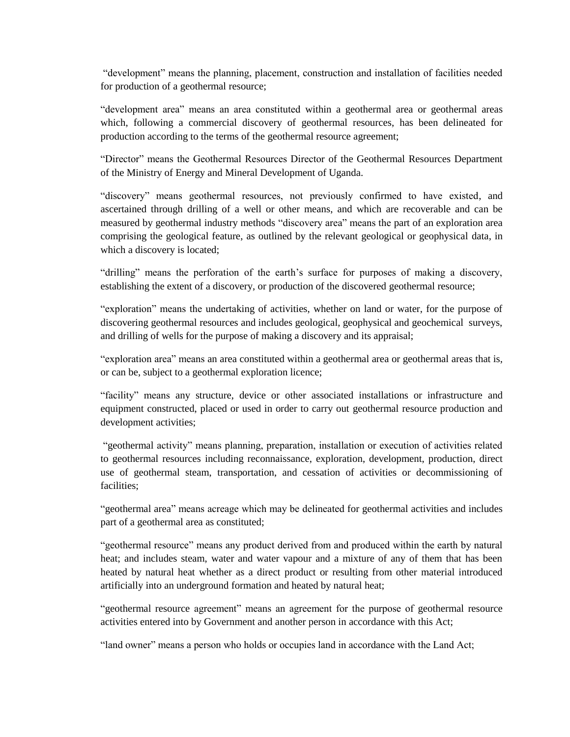"development" means the planning, placement, construction and installation of facilities needed for production of a geothermal resource;

"development area" means an area constituted within a geothermal area or geothermal areas which, following a commercial discovery of geothermal resources, has been delineated for production according to the terms of the geothermal resource agreement;

"Director" means the Geothermal Resources Director of the Geothermal Resources Department of the Ministry of Energy and Mineral Development of Uganda.

"discovery" means geothermal resources, not previously confirmed to have existed, and ascertained through drilling of a well or other means, and which are recoverable and can be measured by geothermal industry methods "discovery area" means the part of an exploration area comprising the geological feature, as outlined by the relevant geological or geophysical data, in which a discovery is located;

"drilling" means the perforation of the earth's surface for purposes of making a discovery, establishing the extent of a discovery, or production of the discovered geothermal resource;

"exploration" means the undertaking of activities, whether on land or water, for the purpose of discovering geothermal resources and includes geological, geophysical and geochemical surveys, and drilling of wells for the purpose of making a discovery and its appraisal;

"exploration area" means an area constituted within a geothermal area or geothermal areas that is, or can be, subject to a geothermal exploration licence;

"facility" means any structure, device or other associated installations or infrastructure and equipment constructed, placed or used in order to carry out geothermal resource production and development activities;

"geothermal activity" means planning, preparation, installation or execution of activities related to geothermal resources including reconnaissance, exploration, development, production, direct use of geothermal steam, transportation, and cessation of activities or decommissioning of facilities;

"geothermal area" means acreage which may be delineated for geothermal activities and includes part of a geothermal area as constituted;

"geothermal resource" means any product derived from and produced within the earth by natural heat; and includes steam, water and water vapour and a mixture of any of them that has been heated by natural heat whether as a direct product or resulting from other material introduced artificially into an underground formation and heated by natural heat;

"geothermal resource agreement" means an agreement for the purpose of geothermal resource activities entered into by Government and another person in accordance with this Act;

"land owner" means a person who holds or occupies land in accordance with the Land Act;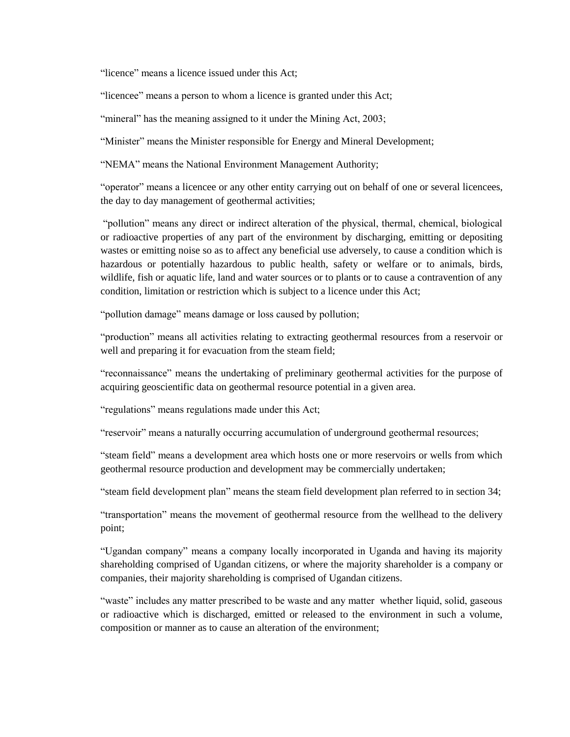"licence" means a licence issued under this Act;

"licencee" means a person to whom a licence is granted under this Act;

"mineral" has the meaning assigned to it under the Mining Act, 2003;

"Minister" means the Minister responsible for Energy and Mineral Development;

"NEMA" means the National Environment Management Authority;

"operator" means a licencee or any other entity carrying out on behalf of one or several licencees, the day to day management of geothermal activities;

"pollution" means any direct or indirect alteration of the physical, thermal, chemical, biological or radioactive properties of any part of the environment by discharging, emitting or depositing wastes or emitting noise so as to affect any beneficial use adversely, to cause a condition which is hazardous or potentially hazardous to public health, safety or welfare or to animals, birds, wildlife, fish or aquatic life, land and water sources or to plants or to cause a contravention of any condition, limitation or restriction which is subject to a licence under this Act;

"pollution damage" means damage or loss caused by pollution;

"production" means all activities relating to extracting geothermal resources from a reservoir or well and preparing it for evacuation from the steam field;

"reconnaissance" means the undertaking of preliminary geothermal activities for the purpose of acquiring geoscientific data on geothermal resource potential in a given area.

"regulations" means regulations made under this Act;

"reservoir" means a naturally occurring accumulation of underground geothermal resources;

"steam field" means a development area which hosts one or more reservoirs or wells from which geothermal resource production and development may be commercially undertaken;

"steam field development plan" means the steam field development plan referred to in section 34;

"transportation" means the movement of geothermal resource from the wellhead to the delivery point;

"Ugandan company" means a company locally incorporated in Uganda and having its majority shareholding comprised of Ugandan citizens, or where the majority shareholder is a company or companies, their majority shareholding is comprised of Ugandan citizens.

"waste" includes any matter prescribed to be waste and any matter whether liquid, solid, gaseous or radioactive which is discharged, emitted or released to the environment in such a volume, composition or manner as to cause an alteration of the environment;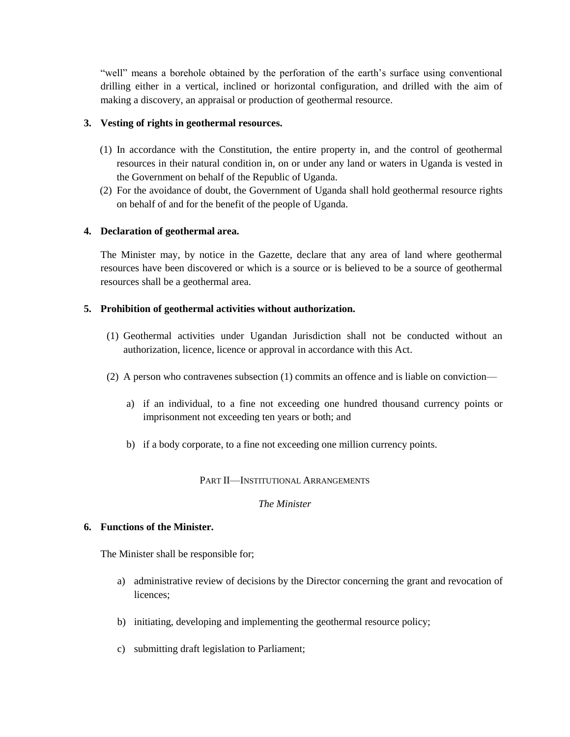"well" means a borehole obtained by the perforation of the earth's surface using conventional drilling either in a vertical, inclined or horizontal configuration, and drilled with the aim of making a discovery, an appraisal or production of geothermal resource.

# **3. Vesting of rights in geothermal resources.**

- (1) In accordance with the Constitution, the entire property in, and the control of geothermal resources in their natural condition in, on or under any land or waters in Uganda is vested in the Government on behalf of the Republic of Uganda.
- (2) For the avoidance of doubt, the Government of Uganda shall hold geothermal resource rights on behalf of and for the benefit of the people of Uganda.

# **4. Declaration of geothermal area.**

The Minister may, by notice in the Gazette, declare that any area of land where geothermal resources have been discovered or which is a source or is believed to be a source of geothermal resources shall be a geothermal area.

# **5. Prohibition of geothermal activities without authorization.**

- (1) Geothermal activities under Ugandan Jurisdiction shall not be conducted without an authorization, licence, licence or approval in accordance with this Act.
- (2) A person who contravenes subsection (1) commits an offence and is liable on conviction
	- a) if an individual, to a fine not exceeding one hundred thousand currency points or imprisonment not exceeding ten years or both; and
	- b) if a body corporate, to a fine not exceeding one million currency points.

# PART II—INSTITUTIONAL ARRANGEMENTS

# *The Minister*

# **6. Functions of the Minister.**

The Minister shall be responsible for;

- a) administrative review of decisions by the Director concerning the grant and revocation of licences;
- b) initiating, developing and implementing the geothermal resource policy;
- c) submitting draft legislation to Parliament;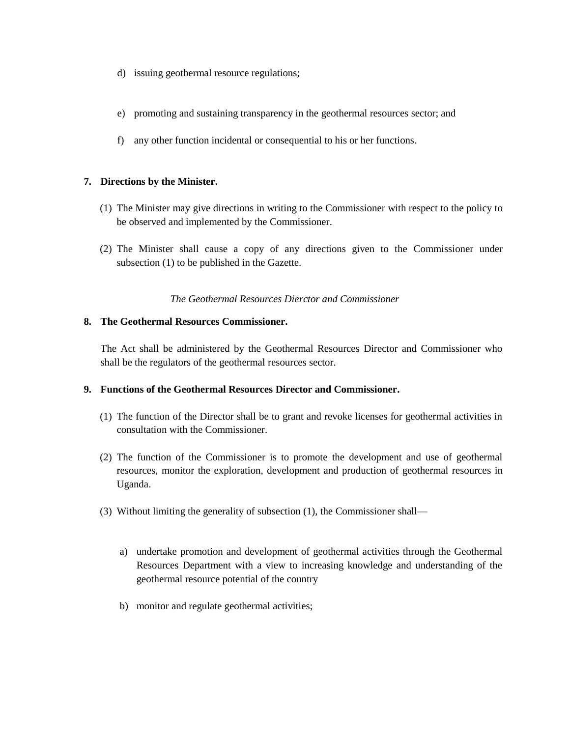- d) issuing geothermal resource regulations;
- e) promoting and sustaining transparency in the geothermal resources sector; and
- f) any other function incidental or consequential to his or her functions.

# **7. Directions by the Minister.**

- (1) The Minister may give directions in writing to the Commissioner with respect to the policy to be observed and implemented by the Commissioner.
- (2) The Minister shall cause a copy of any directions given to the Commissioner under subsection (1) to be published in the Gazette.

# *The Geothermal Resources Dierctor and Commissioner*

# **8. The Geothermal Resources Commissioner.**

The Act shall be administered by the Geothermal Resources Director and Commissioner who shall be the regulators of the geothermal resources sector.

# **9. Functions of the Geothermal Resources Director and Commissioner.**

- (1) The function of the Director shall be to grant and revoke licenses for geothermal activities in consultation with the Commissioner.
- (2) The function of the Commissioner is to promote the development and use of geothermal resources, monitor the exploration, development and production of geothermal resources in Uganda.
- (3) Without limiting the generality of subsection (1), the Commissioner shall
	- a) undertake promotion and development of geothermal activities through the Geothermal Resources Department with a view to increasing knowledge and understanding of the geothermal resource potential of the country
	- b) monitor and regulate geothermal activities;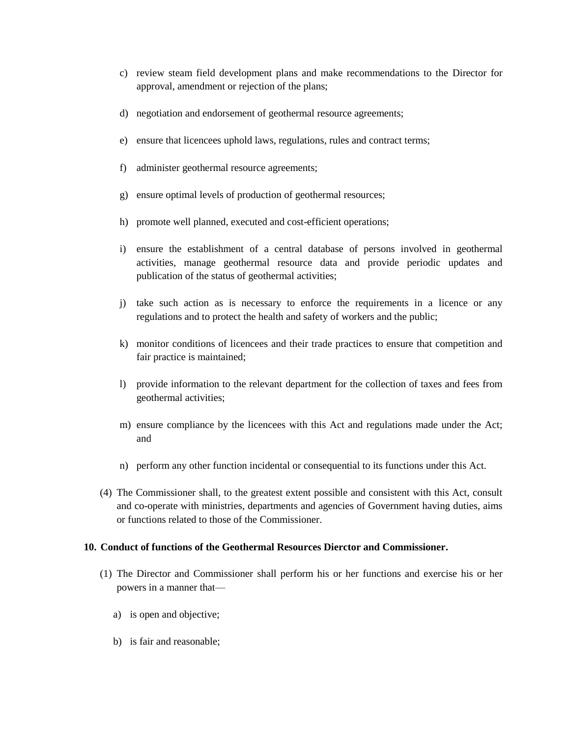- c) review steam field development plans and make recommendations to the Director for approval, amendment or rejection of the plans;
- d) negotiation and endorsement of geothermal resource agreements;
- e) ensure that licencees uphold laws, regulations, rules and contract terms;
- f) administer geothermal resource agreements;
- g) ensure optimal levels of production of geothermal resources;
- h) promote well planned, executed and cost-efficient operations;
- i) ensure the establishment of a central database of persons involved in geothermal activities, manage geothermal resource data and provide periodic updates and publication of the status of geothermal activities;
- j) take such action as is necessary to enforce the requirements in a licence or any regulations and to protect the health and safety of workers and the public;
- k) monitor conditions of licencees and their trade practices to ensure that competition and fair practice is maintained;
- l) provide information to the relevant department for the collection of taxes and fees from geothermal activities;
- m) ensure compliance by the licencees with this Act and regulations made under the Act; and
- n) perform any other function incidental or consequential to its functions under this Act.
- (4) The Commissioner shall, to the greatest extent possible and consistent with this Act, consult and co-operate with ministries, departments and agencies of Government having duties, aims or functions related to those of the Commissioner.

#### **10. Conduct of functions of the Geothermal Resources Dierctor and Commissioner.**

- (1) The Director and Commissioner shall perform his or her functions and exercise his or her powers in a manner that
	- a) is open and objective;
	- b) is fair and reasonable;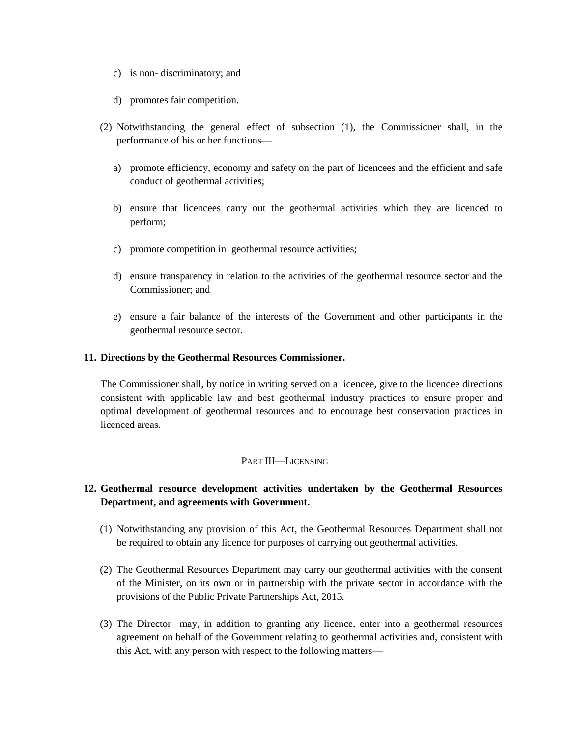- c) is non- discriminatory; and
- d) promotes fair competition.
- (2) Notwithstanding the general effect of subsection (1), the Commissioner shall, in the performance of his or her functions
	- a) promote efficiency, economy and safety on the part of licencees and the efficient and safe conduct of geothermal activities;
	- b) ensure that licencees carry out the geothermal activities which they are licenced to perform;
	- c) promote competition in geothermal resource activities;
	- d) ensure transparency in relation to the activities of the geothermal resource sector and the Commissioner; and
	- e) ensure a fair balance of the interests of the Government and other participants in the geothermal resource sector.

#### **11. Directions by the Geothermal Resources Commissioner.**

The Commissioner shall, by notice in writing served on a licencee, give to the licencee directions consistent with applicable law and best geothermal industry practices to ensure proper and optimal development of geothermal resources and to encourage best conservation practices in licenced areas.

#### PART III—LICENSING

# **12. Geothermal resource development activities undertaken by the Geothermal Resources Department, and agreements with Government.**

- (1) Notwithstanding any provision of this Act, the Geothermal Resources Department shall not be required to obtain any licence for purposes of carrying out geothermal activities.
- (2) The Geothermal Resources Department may carry our geothermal activities with the consent of the Minister, on its own or in partnership with the private sector in accordance with the provisions of the Public Private Partnerships Act, 2015.
- (3) The Director may, in addition to granting any licence, enter into a geothermal resources agreement on behalf of the Government relating to geothermal activities and, consistent with this Act, with any person with respect to the following matters—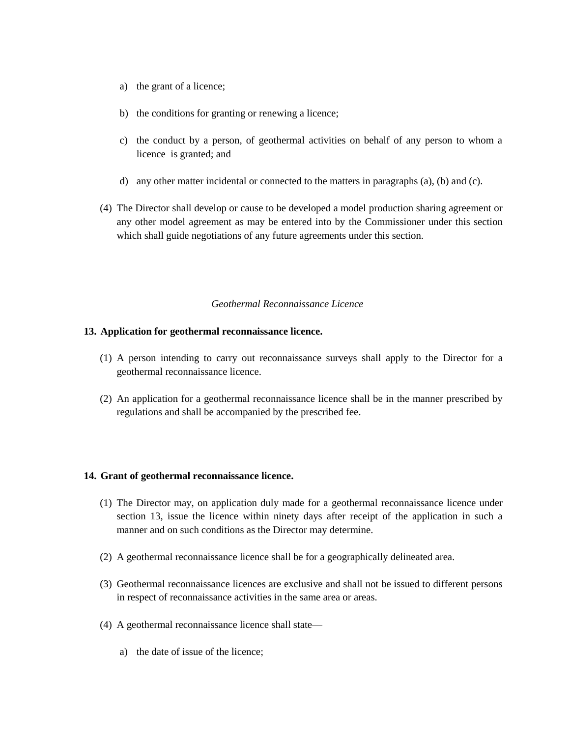- a) the grant of a licence;
- b) the conditions for granting or renewing a licence;
- c) the conduct by a person, of geothermal activities on behalf of any person to whom a licence is granted; and
- d) any other matter incidental or connected to the matters in paragraphs (a), (b) and (c).
- (4) The Director shall develop or cause to be developed a model production sharing agreement or any other model agreement as may be entered into by the Commissioner under this section which shall guide negotiations of any future agreements under this section.

#### *Geothermal Reconnaissance Licence*

#### **13. Application for geothermal reconnaissance licence.**

- (1) A person intending to carry out reconnaissance surveys shall apply to the Director for a geothermal reconnaissance licence.
- (2) An application for a geothermal reconnaissance licence shall be in the manner prescribed by regulations and shall be accompanied by the prescribed fee.

#### **14. Grant of geothermal reconnaissance licence.**

- (1) The Director may, on application duly made for a geothermal reconnaissance licence under section 13, issue the licence within ninety days after receipt of the application in such a manner and on such conditions as the Director may determine.
- (2) A geothermal reconnaissance licence shall be for a geographically delineated area.
- (3) Geothermal reconnaissance licences are exclusive and shall not be issued to different persons in respect of reconnaissance activities in the same area or areas.
- (4) A geothermal reconnaissance licence shall state
	- a) the date of issue of the licence;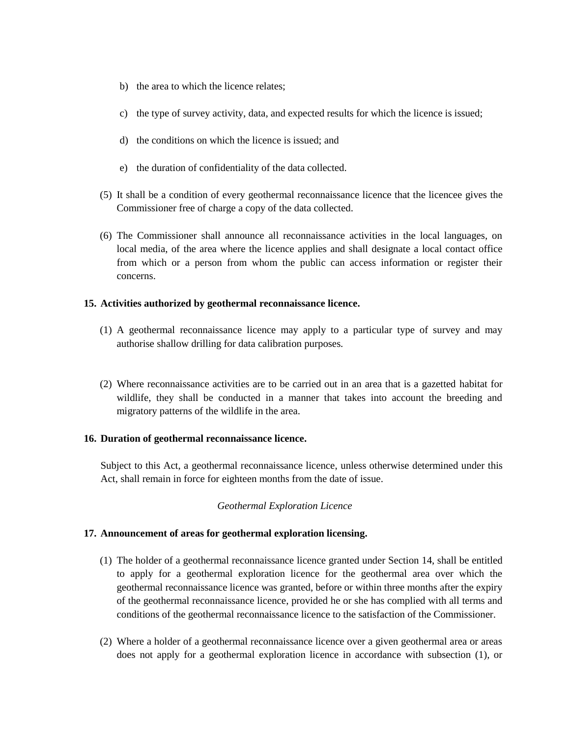- b) the area to which the licence relates;
- c) the type of survey activity, data, and expected results for which the licence is issued;
- d) the conditions on which the licence is issued; and
- e) the duration of confidentiality of the data collected.
- (5) It shall be a condition of every geothermal reconnaissance licence that the licencee gives the Commissioner free of charge a copy of the data collected.
- (6) The Commissioner shall announce all reconnaissance activities in the local languages, on local media, of the area where the licence applies and shall designate a local contact office from which or a person from whom the public can access information or register their concerns.

# **15. Activities authorized by geothermal reconnaissance licence.**

- (1) A geothermal reconnaissance licence may apply to a particular type of survey and may authorise shallow drilling for data calibration purposes.
- (2) Where reconnaissance activities are to be carried out in an area that is a gazetted habitat for wildlife, they shall be conducted in a manner that takes into account the breeding and migratory patterns of the wildlife in the area.

# **16. Duration of geothermal reconnaissance licence.**

Subject to this Act, a geothermal reconnaissance licence, unless otherwise determined under this Act, shall remain in force for eighteen months from the date of issue.

# *Geothermal Exploration Licence*

# **17. Announcement of areas for geothermal exploration licensing.**

- (1) The holder of a geothermal reconnaissance licence granted under Section 14, shall be entitled to apply for a geothermal exploration licence for the geothermal area over which the geothermal reconnaissance licence was granted, before or within three months after the expiry of the geothermal reconnaissance licence, provided he or she has complied with all terms and conditions of the geothermal reconnaissance licence to the satisfaction of the Commissioner.
- (2) Where a holder of a geothermal reconnaissance licence over a given geothermal area or areas does not apply for a geothermal exploration licence in accordance with subsection (1), or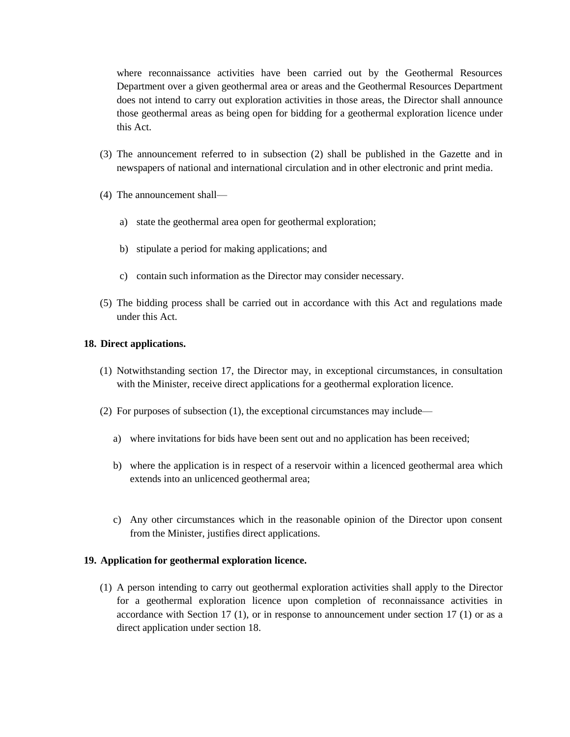where reconnaissance activities have been carried out by the Geothermal Resources Department over a given geothermal area or areas and the Geothermal Resources Department does not intend to carry out exploration activities in those areas, the Director shall announce those geothermal areas as being open for bidding for a geothermal exploration licence under this Act.

- (3) The announcement referred to in subsection (2) shall be published in the Gazette and in newspapers of national and international circulation and in other electronic and print media.
- (4) The announcement shall
	- a) state the geothermal area open for geothermal exploration;
	- b) stipulate a period for making applications; and
	- c) contain such information as the Director may consider necessary.
- (5) The bidding process shall be carried out in accordance with this Act and regulations made under this Act.

# **18. Direct applications.**

- (1) Notwithstanding section 17, the Director may, in exceptional circumstances, in consultation with the Minister, receive direct applications for a geothermal exploration licence.
- (2) For purposes of subsection (1), the exceptional circumstances may include
	- a) where invitations for bids have been sent out and no application has been received;
	- b) where the application is in respect of a reservoir within a licenced geothermal area which extends into an unlicenced geothermal area;
	- c) Any other circumstances which in the reasonable opinion of the Director upon consent from the Minister, justifies direct applications.

# **19. Application for geothermal exploration licence.**

(1) A person intending to carry out geothermal exploration activities shall apply to the Director for a geothermal exploration licence upon completion of reconnaissance activities in accordance with Section 17 (1), or in response to announcement under section 17 (1) or as a direct application under section 18.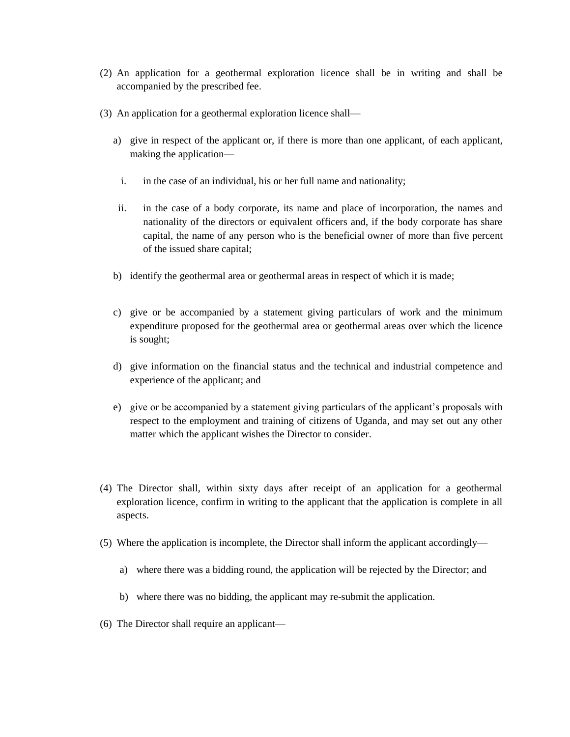- (2) An application for a geothermal exploration licence shall be in writing and shall be accompanied by the prescribed fee.
- (3) An application for a geothermal exploration licence shall
	- a) give in respect of the applicant or, if there is more than one applicant, of each applicant, making the application
		- i. in the case of an individual, his or her full name and nationality;
	- ii. in the case of a body corporate, its name and place of incorporation, the names and nationality of the directors or equivalent officers and, if the body corporate has share capital, the name of any person who is the beneficial owner of more than five percent of the issued share capital;
	- b) identify the geothermal area or geothermal areas in respect of which it is made;
	- c) give or be accompanied by a statement giving particulars of work and the minimum expenditure proposed for the geothermal area or geothermal areas over which the licence is sought;
	- d) give information on the financial status and the technical and industrial competence and experience of the applicant; and
	- e) give or be accompanied by a statement giving particulars of the applicant's proposals with respect to the employment and training of citizens of Uganda, and may set out any other matter which the applicant wishes the Director to consider.
- (4) The Director shall, within sixty days after receipt of an application for a geothermal exploration licence, confirm in writing to the applicant that the application is complete in all aspects.
- (5) Where the application is incomplete, the Director shall inform the applicant accordingly
	- a) where there was a bidding round, the application will be rejected by the Director; and
	- b) where there was no bidding, the applicant may re-submit the application.
- (6) The Director shall require an applicant—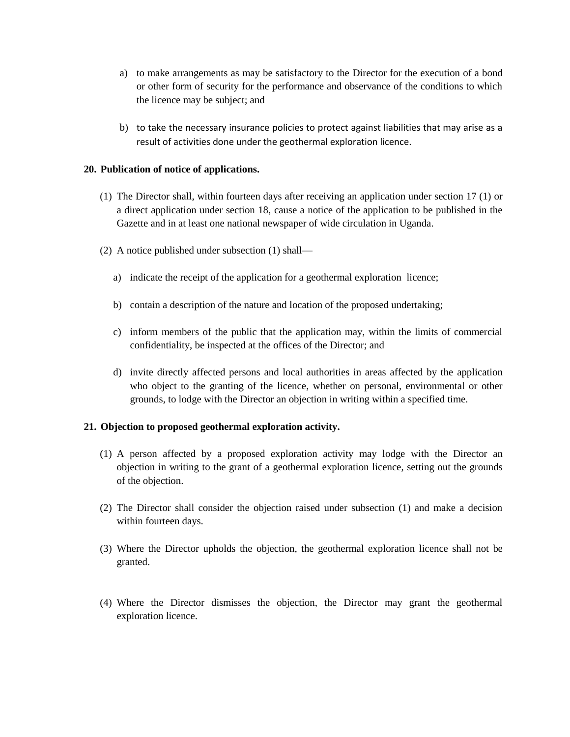- a) to make arrangements as may be satisfactory to the Director for the execution of a bond or other form of security for the performance and observance of the conditions to which the licence may be subject; and
- b) to take the necessary insurance policies to protect against liabilities that may arise as a result of activities done under the geothermal exploration licence.

# **20. Publication of notice of applications.**

- (1) The Director shall, within fourteen days after receiving an application under section 17 (1) or a direct application under section 18, cause a notice of the application to be published in the Gazette and in at least one national newspaper of wide circulation in Uganda.
- (2) A notice published under subsection (1) shall
	- a) indicate the receipt of the application for a geothermal exploration licence;
	- b) contain a description of the nature and location of the proposed undertaking;
	- c) inform members of the public that the application may, within the limits of commercial confidentiality, be inspected at the offices of the Director; and
	- d) invite directly affected persons and local authorities in areas affected by the application who object to the granting of the licence, whether on personal, environmental or other grounds, to lodge with the Director an objection in writing within a specified time.

# **21. Objection to proposed geothermal exploration activity.**

- (1) A person affected by a proposed exploration activity may lodge with the Director an objection in writing to the grant of a geothermal exploration licence, setting out the grounds of the objection.
- (2) The Director shall consider the objection raised under subsection (1) and make a decision within fourteen days.
- (3) Where the Director upholds the objection, the geothermal exploration licence shall not be granted.
- (4) Where the Director dismisses the objection, the Director may grant the geothermal exploration licence.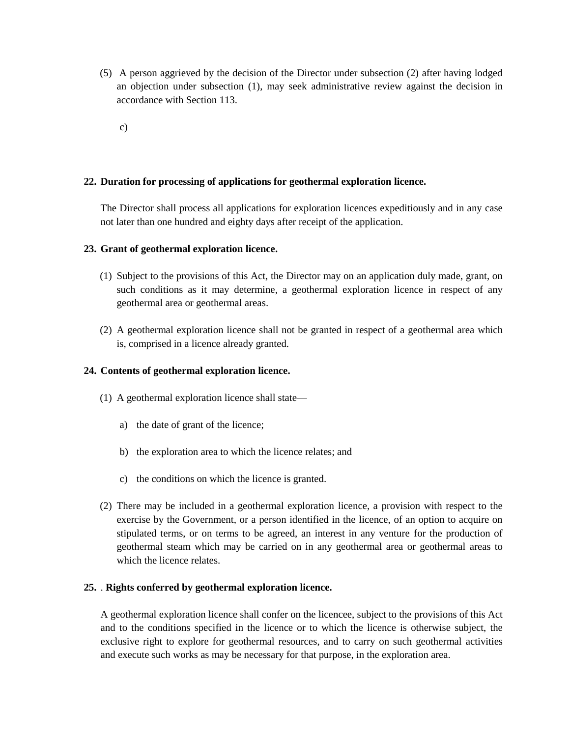- (5) A person aggrieved by the decision of the Director under subsection (2) after having lodged an objection under subsection (1), may seek administrative review against the decision in accordance with Section 113.
	- c)

# **22. Duration for processing of applications for geothermal exploration licence.**

The Director shall process all applications for exploration licences expeditiously and in any case not later than one hundred and eighty days after receipt of the application.

# **23. Grant of geothermal exploration licence.**

- (1) Subject to the provisions of this Act, the Director may on an application duly made, grant, on such conditions as it may determine, a geothermal exploration licence in respect of any geothermal area or geothermal areas.
- (2) A geothermal exploration licence shall not be granted in respect of a geothermal area which is, comprised in a licence already granted.

# **24. Contents of geothermal exploration licence.**

- (1) A geothermal exploration licence shall state
	- a) the date of grant of the licence;
	- b) the exploration area to which the licence relates; and
	- c) the conditions on which the licence is granted.
- (2) There may be included in a geothermal exploration licence, a provision with respect to the exercise by the Government, or a person identified in the licence, of an option to acquire on stipulated terms, or on terms to be agreed, an interest in any venture for the production of geothermal steam which may be carried on in any geothermal area or geothermal areas to which the licence relates.

#### **25.** . **Rights conferred by geothermal exploration licence.**

A geothermal exploration licence shall confer on the licencee, subject to the provisions of this Act and to the conditions specified in the licence or to which the licence is otherwise subject, the exclusive right to explore for geothermal resources, and to carry on such geothermal activities and execute such works as may be necessary for that purpose, in the exploration area.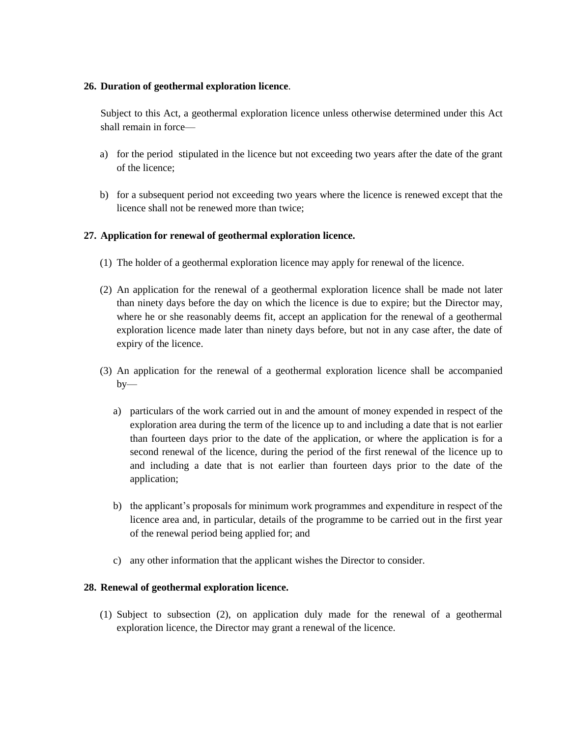# **26. Duration of geothermal exploration licence**.

Subject to this Act, a geothermal exploration licence unless otherwise determined under this Act shall remain in force—

- a) for the period stipulated in the licence but not exceeding two years after the date of the grant of the licence;
- b) for a subsequent period not exceeding two years where the licence is renewed except that the licence shall not be renewed more than twice;

# **27. Application for renewal of geothermal exploration licence.**

- (1) The holder of a geothermal exploration licence may apply for renewal of the licence.
- (2) An application for the renewal of a geothermal exploration licence shall be made not later than ninety days before the day on which the licence is due to expire; but the Director may, where he or she reasonably deems fit, accept an application for the renewal of a geothermal exploration licence made later than ninety days before, but not in any case after, the date of expiry of the licence.
- (3) An application for the renewal of a geothermal exploration licence shall be accompanied  $by$ 
	- a) particulars of the work carried out in and the amount of money expended in respect of the exploration area during the term of the licence up to and including a date that is not earlier than fourteen days prior to the date of the application, or where the application is for a second renewal of the licence, during the period of the first renewal of the licence up to and including a date that is not earlier than fourteen days prior to the date of the application;
	- b) the applicant's proposals for minimum work programmes and expenditure in respect of the licence area and, in particular, details of the programme to be carried out in the first year of the renewal period being applied for; and
	- c) any other information that the applicant wishes the Director to consider.

# **28. Renewal of geothermal exploration licence.**

(1) Subject to subsection (2), on application duly made for the renewal of a geothermal exploration licence, the Director may grant a renewal of the licence.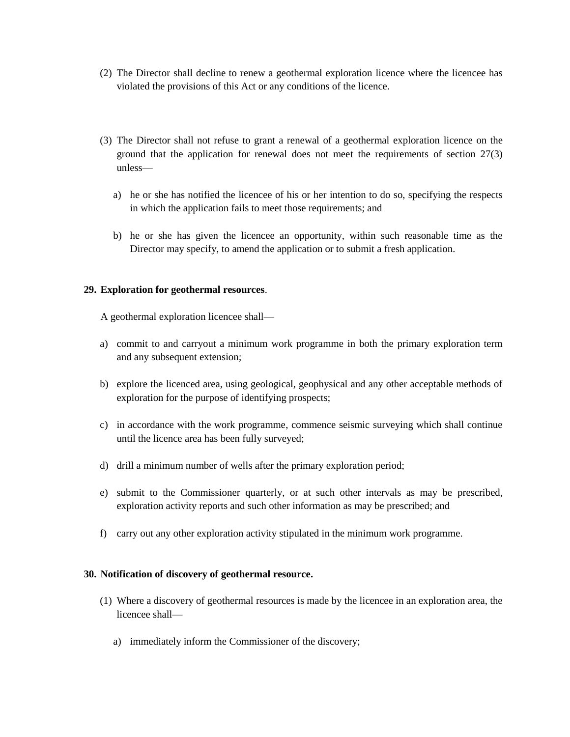- (2) The Director shall decline to renew a geothermal exploration licence where the licencee has violated the provisions of this Act or any conditions of the licence.
- (3) The Director shall not refuse to grant a renewal of a geothermal exploration licence on the ground that the application for renewal does not meet the requirements of section 27(3) unless
	- a) he or she has notified the licencee of his or her intention to do so, specifying the respects in which the application fails to meet those requirements; and
	- b) he or she has given the licencee an opportunity, within such reasonable time as the Director may specify, to amend the application or to submit a fresh application.

# **29. Exploration for geothermal resources**.

A geothermal exploration licencee shall—

- a) commit to and carryout a minimum work programme in both the primary exploration term and any subsequent extension;
- b) explore the licenced area, using geological, geophysical and any other acceptable methods of exploration for the purpose of identifying prospects;
- c) in accordance with the work programme, commence seismic surveying which shall continue until the licence area has been fully surveyed;
- d) drill a minimum number of wells after the primary exploration period;
- e) submit to the Commissioner quarterly, or at such other intervals as may be prescribed, exploration activity reports and such other information as may be prescribed; and
- f) carry out any other exploration activity stipulated in the minimum work programme.

# **30. Notification of discovery of geothermal resource.**

- (1) Where a discovery of geothermal resources is made by the licencee in an exploration area, the licencee shall
	- a) immediately inform the Commissioner of the discovery;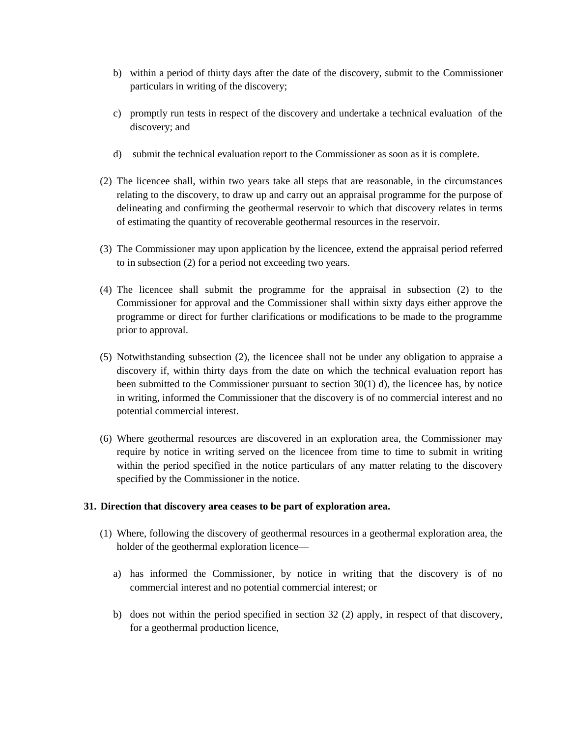- b) within a period of thirty days after the date of the discovery, submit to the Commissioner particulars in writing of the discovery;
- c) promptly run tests in respect of the discovery and undertake a technical evaluation of the discovery; and
- d) submit the technical evaluation report to the Commissioner as soon as it is complete.
- (2) The licencee shall, within two years take all steps that are reasonable, in the circumstances relating to the discovery, to draw up and carry out an appraisal programme for the purpose of delineating and confirming the geothermal reservoir to which that discovery relates in terms of estimating the quantity of recoverable geothermal resources in the reservoir.
- (3) The Commissioner may upon application by the licencee, extend the appraisal period referred to in subsection (2) for a period not exceeding two years.
- (4) The licencee shall submit the programme for the appraisal in subsection (2) to the Commissioner for approval and the Commissioner shall within sixty days either approve the programme or direct for further clarifications or modifications to be made to the programme prior to approval.
- (5) Notwithstanding subsection (2), the licencee shall not be under any obligation to appraise a discovery if, within thirty days from the date on which the technical evaluation report has been submitted to the Commissioner pursuant to section  $30(1)$  d), the licencee has, by notice in writing, informed the Commissioner that the discovery is of no commercial interest and no potential commercial interest.
- (6) Where geothermal resources are discovered in an exploration area, the Commissioner may require by notice in writing served on the licencee from time to time to submit in writing within the period specified in the notice particulars of any matter relating to the discovery specified by the Commissioner in the notice.

# **31. Direction that discovery area ceases to be part of exploration area.**

- (1) Where, following the discovery of geothermal resources in a geothermal exploration area, the holder of the geothermal exploration licence
	- a) has informed the Commissioner, by notice in writing that the discovery is of no commercial interest and no potential commercial interest; or
	- b) does not within the period specified in section 32 (2) apply, in respect of that discovery, for a geothermal production licence,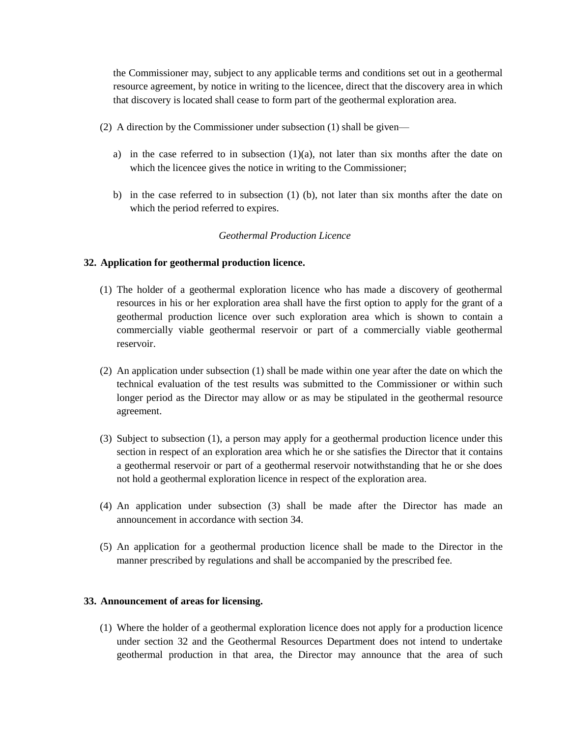the Commissioner may, subject to any applicable terms and conditions set out in a geothermal resource agreement, by notice in writing to the licencee, direct that the discovery area in which that discovery is located shall cease to form part of the geothermal exploration area.

- (2) A direction by the Commissioner under subsection (1) shall be given
	- a) in the case referred to in subsection  $(1)(a)$ , not later than six months after the date on which the licencee gives the notice in writing to the Commissioner;
	- b) in the case referred to in subsection (1) (b), not later than six months after the date on which the period referred to expires.

# *Geothermal Production Licence*

# **32. Application for geothermal production licence.**

- (1) The holder of a geothermal exploration licence who has made a discovery of geothermal resources in his or her exploration area shall have the first option to apply for the grant of a geothermal production licence over such exploration area which is shown to contain a commercially viable geothermal reservoir or part of a commercially viable geothermal reservoir.
- (2) An application under subsection (1) shall be made within one year after the date on which the technical evaluation of the test results was submitted to the Commissioner or within such longer period as the Director may allow or as may be stipulated in the geothermal resource agreement.
- (3) Subject to subsection (1), a person may apply for a geothermal production licence under this section in respect of an exploration area which he or she satisfies the Director that it contains a geothermal reservoir or part of a geothermal reservoir notwithstanding that he or she does not hold a geothermal exploration licence in respect of the exploration area.
- (4) An application under subsection (3) shall be made after the Director has made an announcement in accordance with section 34.
- (5) An application for a geothermal production licence shall be made to the Director in the manner prescribed by regulations and shall be accompanied by the prescribed fee.

# **33. Announcement of areas for licensing.**

(1) Where the holder of a geothermal exploration licence does not apply for a production licence under section 32 and the Geothermal Resources Department does not intend to undertake geothermal production in that area, the Director may announce that the area of such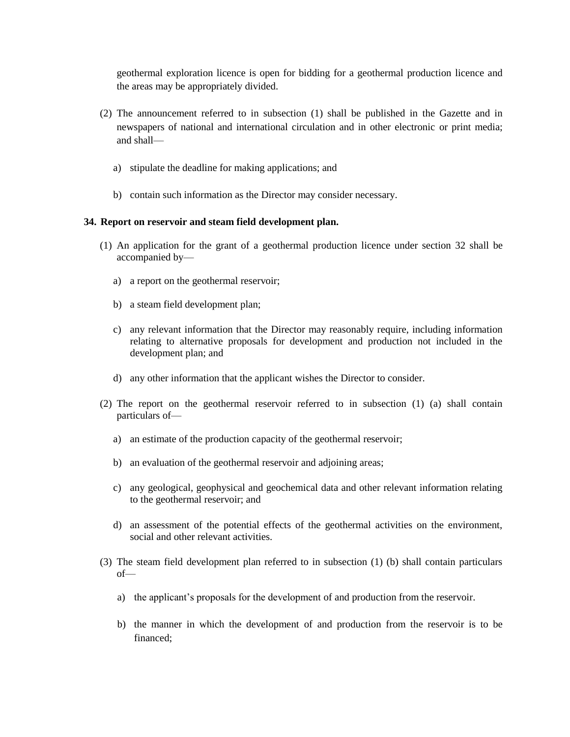geothermal exploration licence is open for bidding for a geothermal production licence and the areas may be appropriately divided.

- (2) The announcement referred to in subsection (1) shall be published in the Gazette and in newspapers of national and international circulation and in other electronic or print media; and shall
	- a) stipulate the deadline for making applications; and
	- b) contain such information as the Director may consider necessary.

# **34. Report on reservoir and steam field development plan.**

- (1) An application for the grant of a geothermal production licence under section 32 shall be accompanied by
	- a) a report on the geothermal reservoir;
	- b) a steam field development plan;
	- c) any relevant information that the Director may reasonably require, including information relating to alternative proposals for development and production not included in the development plan; and
	- d) any other information that the applicant wishes the Director to consider.
- (2) The report on the geothermal reservoir referred to in subsection (1) (a) shall contain particulars of
	- a) an estimate of the production capacity of the geothermal reservoir;
	- b) an evaluation of the geothermal reservoir and adjoining areas;
	- c) any geological, geophysical and geochemical data and other relevant information relating to the geothermal reservoir; and
	- d) an assessment of the potential effects of the geothermal activities on the environment, social and other relevant activities.
- (3) The steam field development plan referred to in subsection (1) (b) shall contain particulars of
	- a) the applicant's proposals for the development of and production from the reservoir.
	- b) the manner in which the development of and production from the reservoir is to be financed;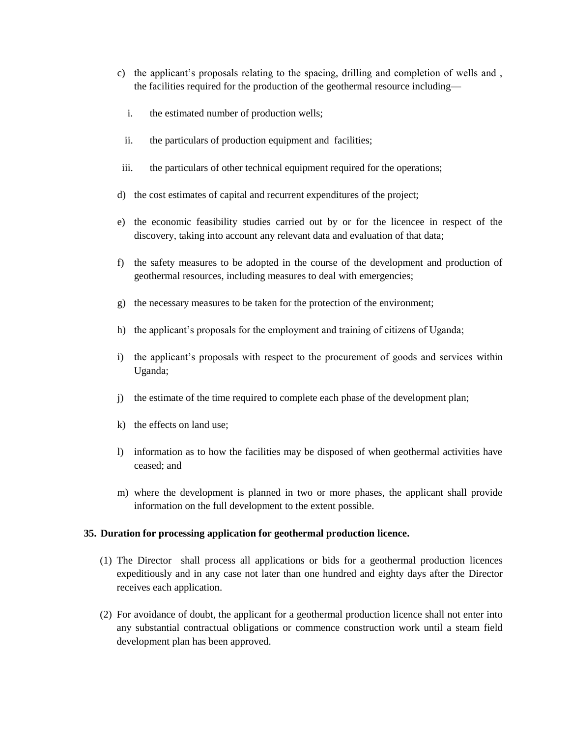- c) the applicant's proposals relating to the spacing, drilling and completion of wells and , the facilities required for the production of the geothermal resource including
	- i. the estimated number of production wells;
	- ii. the particulars of production equipment and facilities;
- iii. the particulars of other technical equipment required for the operations;
- d) the cost estimates of capital and recurrent expenditures of the project;
- e) the economic feasibility studies carried out by or for the licencee in respect of the discovery, taking into account any relevant data and evaluation of that data;
- f) the safety measures to be adopted in the course of the development and production of geothermal resources, including measures to deal with emergencies;
- g) the necessary measures to be taken for the protection of the environment;
- h) the applicant's proposals for the employment and training of citizens of Uganda;
- i) the applicant's proposals with respect to the procurement of goods and services within Uganda;
- j) the estimate of the time required to complete each phase of the development plan;
- k) the effects on land use;
- l) information as to how the facilities may be disposed of when geothermal activities have ceased; and
- m) where the development is planned in two or more phases, the applicant shall provide information on the full development to the extent possible.

# **35. Duration for processing application for geothermal production licence.**

- (1) The Director shall process all applications or bids for a geothermal production licences expeditiously and in any case not later than one hundred and eighty days after the Director receives each application.
- (2) For avoidance of doubt, the applicant for a geothermal production licence shall not enter into any substantial contractual obligations or commence construction work until a steam field development plan has been approved.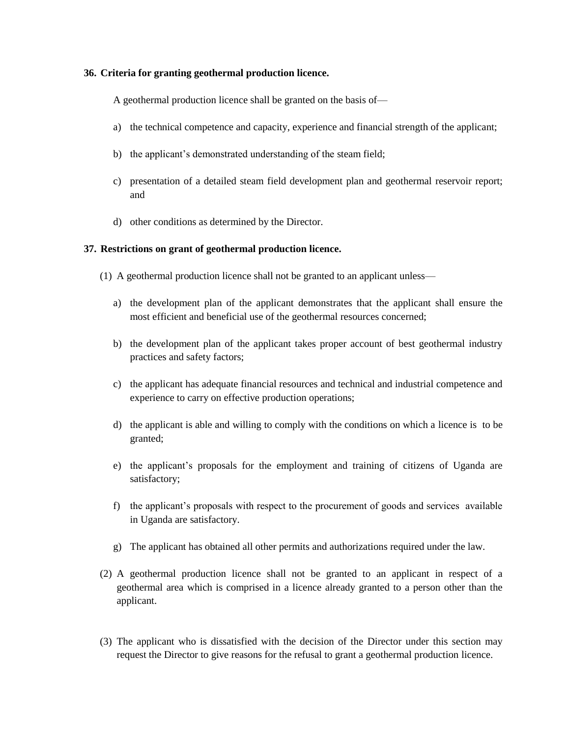#### **36. Criteria for granting geothermal production licence.**

A geothermal production licence shall be granted on the basis of—

- a) the technical competence and capacity, experience and financial strength of the applicant;
- b) the applicant's demonstrated understanding of the steam field;
- c) presentation of a detailed steam field development plan and geothermal reservoir report; and
- d) other conditions as determined by the Director.

# **37. Restrictions on grant of geothermal production licence.**

- (1) A geothermal production licence shall not be granted to an applicant unless
	- a) the development plan of the applicant demonstrates that the applicant shall ensure the most efficient and beneficial use of the geothermal resources concerned;
	- b) the development plan of the applicant takes proper account of best geothermal industry practices and safety factors;
	- c) the applicant has adequate financial resources and technical and industrial competence and experience to carry on effective production operations;
	- d) the applicant is able and willing to comply with the conditions on which a licence is to be granted;
	- e) the applicant's proposals for the employment and training of citizens of Uganda are satisfactory;
	- f) the applicant's proposals with respect to the procurement of goods and services available in Uganda are satisfactory.
	- g) The applicant has obtained all other permits and authorizations required under the law.
- (2) A geothermal production licence shall not be granted to an applicant in respect of a geothermal area which is comprised in a licence already granted to a person other than the applicant.
- (3) The applicant who is dissatisfied with the decision of the Director under this section may request the Director to give reasons for the refusal to grant a geothermal production licence.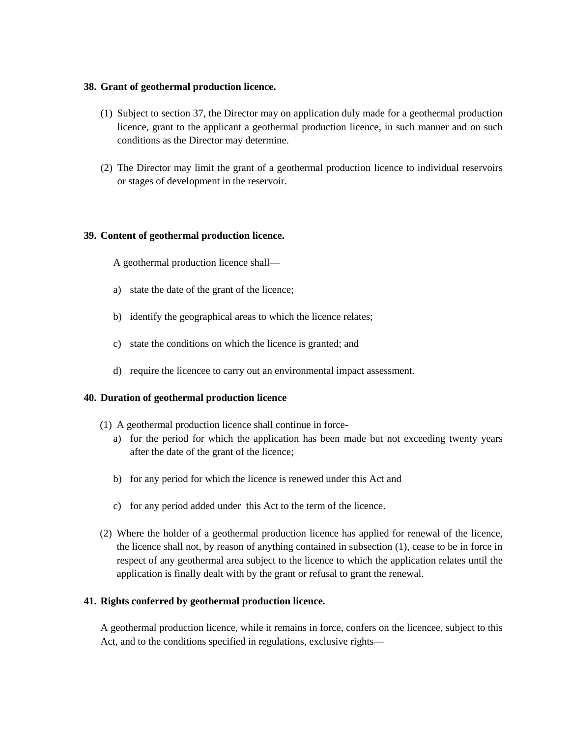#### **38. Grant of geothermal production licence.**

- (1) Subject to section 37, the Director may on application duly made for a geothermal production licence, grant to the applicant a geothermal production licence, in such manner and on such conditions as the Director may determine.
- (2) The Director may limit the grant of a geothermal production licence to individual reservoirs or stages of development in the reservoir.

#### **39. Content of geothermal production licence.**

A geothermal production licence shall—

- a) state the date of the grant of the licence;
- b) identify the geographical areas to which the licence relates;
- c) state the conditions on which the licence is granted; and
- d) require the licencee to carry out an environmental impact assessment.

# **40. Duration of geothermal production licence**

- (1) A geothermal production licence shall continue in force
	- a) for the period for which the application has been made but not exceeding twenty years after the date of the grant of the licence;
	- b) for any period for which the licence is renewed under this Act and
	- c) for any period added under this Act to the term of the licence.
- (2) Where the holder of a geothermal production licence has applied for renewal of the licence, the licence shall not, by reason of anything contained in subsection (1), cease to be in force in respect of any geothermal area subject to the licence to which the application relates until the application is finally dealt with by the grant or refusal to grant the renewal.

# **41. Rights conferred by geothermal production licence.**

A geothermal production licence, while it remains in force, confers on the licencee, subject to this Act, and to the conditions specified in regulations, exclusive rights—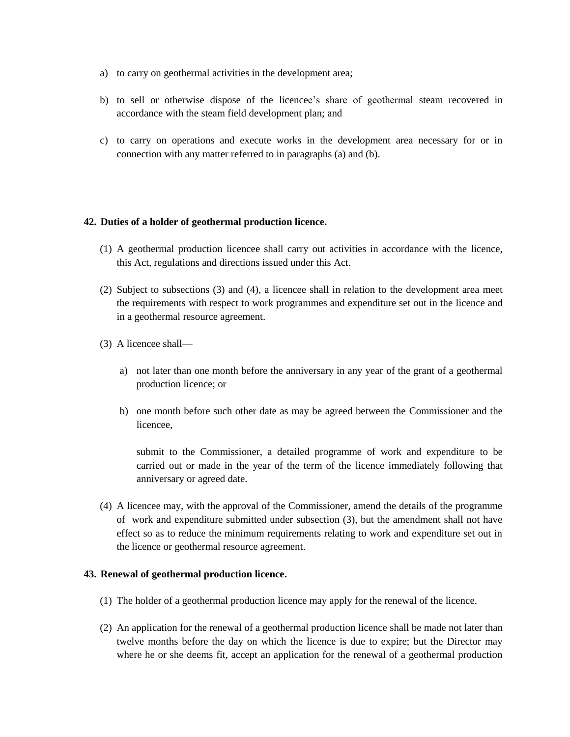- a) to carry on geothermal activities in the development area;
- b) to sell or otherwise dispose of the licencee's share of geothermal steam recovered in accordance with the steam field development plan; and
- c) to carry on operations and execute works in the development area necessary for or in connection with any matter referred to in paragraphs (a) and (b).

# **42. Duties of a holder of geothermal production licence.**

- (1) A geothermal production licencee shall carry out activities in accordance with the licence, this Act, regulations and directions issued under this Act.
- (2) Subject to subsections (3) and (4), a licencee shall in relation to the development area meet the requirements with respect to work programmes and expenditure set out in the licence and in a geothermal resource agreement.
- (3) A licencee shall
	- a) not later than one month before the anniversary in any year of the grant of a geothermal production licence; or
	- b) one month before such other date as may be agreed between the Commissioner and the licencee,

submit to the Commissioner, a detailed programme of work and expenditure to be carried out or made in the year of the term of the licence immediately following that anniversary or agreed date.

(4) A licencee may, with the approval of the Commissioner, amend the details of the programme of work and expenditure submitted under subsection (3), but the amendment shall not have effect so as to reduce the minimum requirements relating to work and expenditure set out in the licence or geothermal resource agreement.

# **43. Renewal of geothermal production licence.**

- (1) The holder of a geothermal production licence may apply for the renewal of the licence.
- (2) An application for the renewal of a geothermal production licence shall be made not later than twelve months before the day on which the licence is due to expire; but the Director may where he or she deems fit, accept an application for the renewal of a geothermal production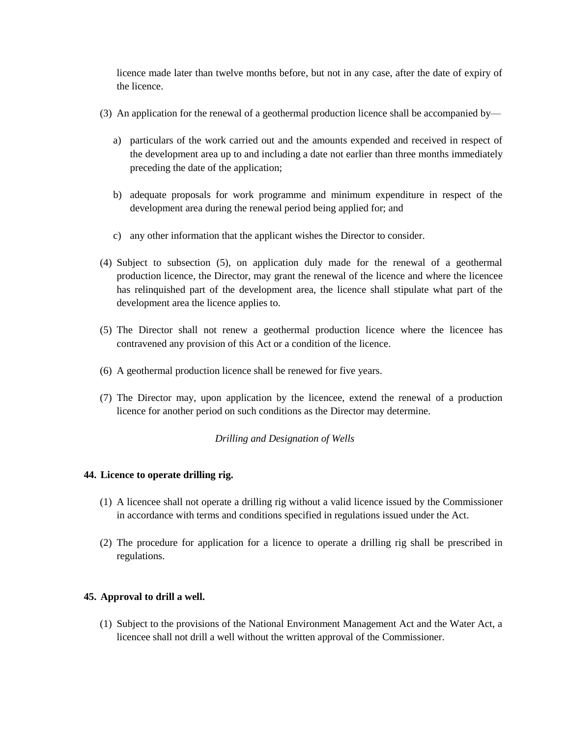licence made later than twelve months before, but not in any case, after the date of expiry of the licence.

- (3) An application for the renewal of a geothermal production licence shall be accompanied by
	- a) particulars of the work carried out and the amounts expended and received in respect of the development area up to and including a date not earlier than three months immediately preceding the date of the application;
	- b) adequate proposals for work programme and minimum expenditure in respect of the development area during the renewal period being applied for; and
	- c) any other information that the applicant wishes the Director to consider.
- (4) Subject to subsection (5), on application duly made for the renewal of a geothermal production licence, the Director, may grant the renewal of the licence and where the licencee has relinquished part of the development area, the licence shall stipulate what part of the development area the licence applies to.
- (5) The Director shall not renew a geothermal production licence where the licencee has contravened any provision of this Act or a condition of the licence.
- (6) A geothermal production licence shall be renewed for five years.
- (7) The Director may, upon application by the licencee, extend the renewal of a production licence for another period on such conditions as the Director may determine.

# *Drilling and Designation of Wells*

# **44. Licence to operate drilling rig.**

- (1) A licencee shall not operate a drilling rig without a valid licence issued by the Commissioner in accordance with terms and conditions specified in regulations issued under the Act.
- (2) The procedure for application for a licence to operate a drilling rig shall be prescribed in regulations.

# **45. Approval to drill a well.**

(1) Subject to the provisions of the National Environment Management Act and the Water Act, a licencee shall not drill a well without the written approval of the Commissioner.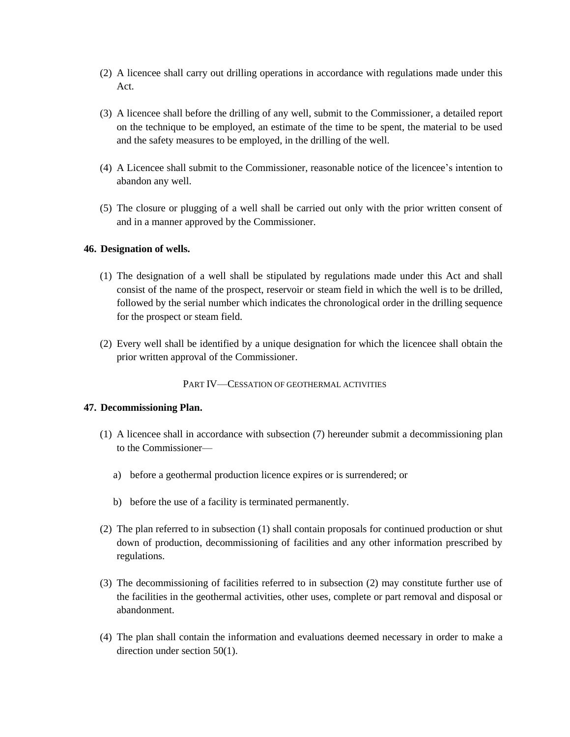- (2) A licencee shall carry out drilling operations in accordance with regulations made under this Act.
- (3) A licencee shall before the drilling of any well, submit to the Commissioner, a detailed report on the technique to be employed, an estimate of the time to be spent, the material to be used and the safety measures to be employed, in the drilling of the well.
- (4) A Licencee shall submit to the Commissioner, reasonable notice of the licencee's intention to abandon any well.
- (5) The closure or plugging of a well shall be carried out only with the prior written consent of and in a manner approved by the Commissioner.

#### **46. Designation of wells.**

- (1) The designation of a well shall be stipulated by regulations made under this Act and shall consist of the name of the prospect, reservoir or steam field in which the well is to be drilled, followed by the serial number which indicates the chronological order in the drilling sequence for the prospect or steam field.
- (2) Every well shall be identified by a unique designation for which the licencee shall obtain the prior written approval of the Commissioner.

PART IV—CESSATION OF GEOTHERMAL ACTIVITIES

# **47. Decommissioning Plan.**

- (1) A licencee shall in accordance with subsection (7) hereunder submit a decommissioning plan to the Commissioner
	- a) before a geothermal production licence expires or is surrendered; or
	- b) before the use of a facility is terminated permanently.
- (2) The plan referred to in subsection (1) shall contain proposals for continued production or shut down of production, decommissioning of facilities and any other information prescribed by regulations.
- (3) The decommissioning of facilities referred to in subsection (2) may constitute further use of the facilities in the geothermal activities, other uses, complete or part removal and disposal or abandonment.
- (4) The plan shall contain the information and evaluations deemed necessary in order to make a direction under section 50(1).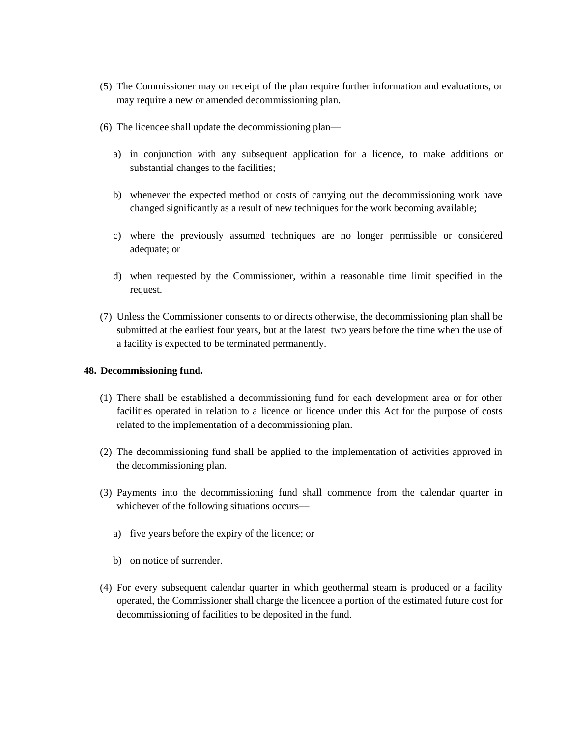- (5) The Commissioner may on receipt of the plan require further information and evaluations, or may require a new or amended decommissioning plan.
- (6) The licencee shall update the decommissioning plan
	- a) in conjunction with any subsequent application for a licence, to make additions or substantial changes to the facilities;
	- b) whenever the expected method or costs of carrying out the decommissioning work have changed significantly as a result of new techniques for the work becoming available;
	- c) where the previously assumed techniques are no longer permissible or considered adequate; or
	- d) when requested by the Commissioner, within a reasonable time limit specified in the request.
- (7) Unless the Commissioner consents to or directs otherwise, the decommissioning plan shall be submitted at the earliest four years, but at the latest two years before the time when the use of a facility is expected to be terminated permanently.

#### **48. Decommissioning fund.**

- (1) There shall be established a decommissioning fund for each development area or for other facilities operated in relation to a licence or licence under this Act for the purpose of costs related to the implementation of a decommissioning plan.
- (2) The decommissioning fund shall be applied to the implementation of activities approved in the decommissioning plan.
- (3) Payments into the decommissioning fund shall commence from the calendar quarter in whichever of the following situations occurs
	- a) five years before the expiry of the licence; or
	- b) on notice of surrender.
- (4) For every subsequent calendar quarter in which geothermal steam is produced or a facility operated, the Commissioner shall charge the licencee a portion of the estimated future cost for decommissioning of facilities to be deposited in the fund.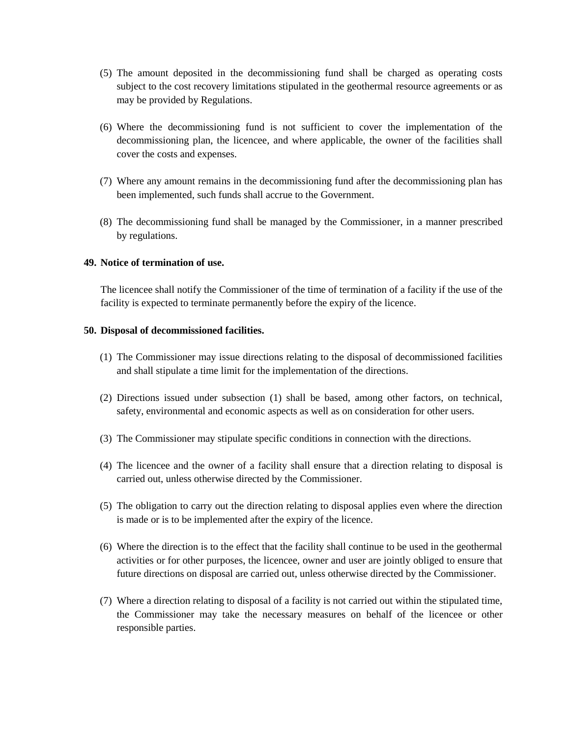- (5) The amount deposited in the decommissioning fund shall be charged as operating costs subject to the cost recovery limitations stipulated in the geothermal resource agreements or as may be provided by Regulations.
- (6) Where the decommissioning fund is not sufficient to cover the implementation of the decommissioning plan, the licencee, and where applicable, the owner of the facilities shall cover the costs and expenses.
- (7) Where any amount remains in the decommissioning fund after the decommissioning plan has been implemented, such funds shall accrue to the Government.
- (8) The decommissioning fund shall be managed by the Commissioner, in a manner prescribed by regulations.

### **49. Notice of termination of use.**

The licencee shall notify the Commissioner of the time of termination of a facility if the use of the facility is expected to terminate permanently before the expiry of the licence.

#### **50. Disposal of decommissioned facilities.**

- (1) The Commissioner may issue directions relating to the disposal of decommissioned facilities and shall stipulate a time limit for the implementation of the directions.
- (2) Directions issued under subsection (1) shall be based, among other factors, on technical, safety, environmental and economic aspects as well as on consideration for other users.
- (3) The Commissioner may stipulate specific conditions in connection with the directions.
- (4) The licencee and the owner of a facility shall ensure that a direction relating to disposal is carried out, unless otherwise directed by the Commissioner.
- (5) The obligation to carry out the direction relating to disposal applies even where the direction is made or is to be implemented after the expiry of the licence.
- (6) Where the direction is to the effect that the facility shall continue to be used in the geothermal activities or for other purposes, the licencee, owner and user are jointly obliged to ensure that future directions on disposal are carried out, unless otherwise directed by the Commissioner.
- (7) Where a direction relating to disposal of a facility is not carried out within the stipulated time, the Commissioner may take the necessary measures on behalf of the licencee or other responsible parties.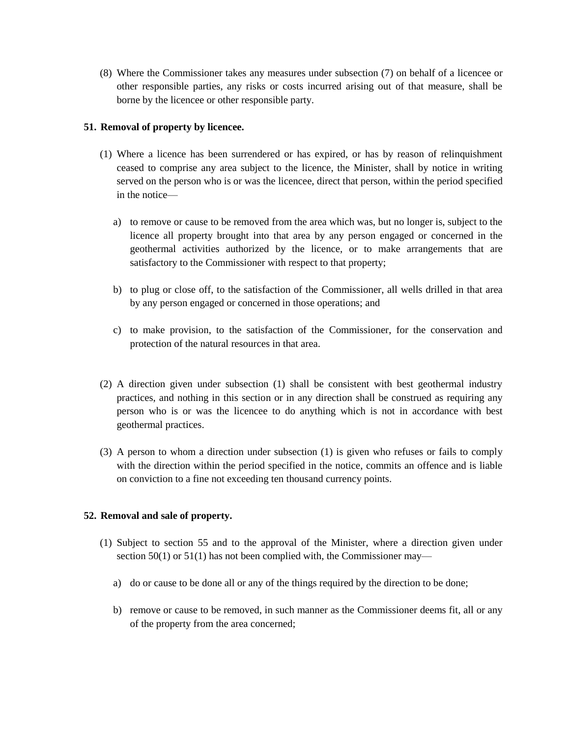(8) Where the Commissioner takes any measures under subsection (7) on behalf of a licencee or other responsible parties, any risks or costs incurred arising out of that measure, shall be borne by the licencee or other responsible party.

# **51. Removal of property by licencee.**

- (1) Where a licence has been surrendered or has expired, or has by reason of relinquishment ceased to comprise any area subject to the licence, the Minister, shall by notice in writing served on the person who is or was the licencee, direct that person, within the period specified in the notice
	- a) to remove or cause to be removed from the area which was, but no longer is, subject to the licence all property brought into that area by any person engaged or concerned in the geothermal activities authorized by the licence, or to make arrangements that are satisfactory to the Commissioner with respect to that property;
	- b) to plug or close off, to the satisfaction of the Commissioner, all wells drilled in that area by any person engaged or concerned in those operations; and
	- c) to make provision, to the satisfaction of the Commissioner, for the conservation and protection of the natural resources in that area.
- (2) A direction given under subsection (1) shall be consistent with best geothermal industry practices, and nothing in this section or in any direction shall be construed as requiring any person who is or was the licencee to do anything which is not in accordance with best geothermal practices.
- (3) A person to whom a direction under subsection (1) is given who refuses or fails to comply with the direction within the period specified in the notice, commits an offence and is liable on conviction to a fine not exceeding ten thousand currency points.

# **52. Removal and sale of property.**

- (1) Subject to section 55 and to the approval of the Minister, where a direction given under section 50(1) or 51(1) has not been complied with, the Commissioner may
	- a) do or cause to be done all or any of the things required by the direction to be done;
	- b) remove or cause to be removed, in such manner as the Commissioner deems fit, all or any of the property from the area concerned;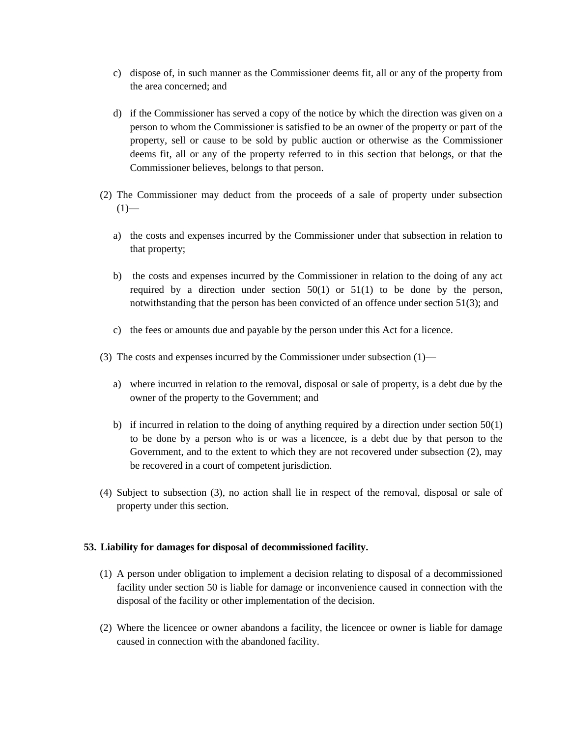- c) dispose of, in such manner as the Commissioner deems fit, all or any of the property from the area concerned; and
- d) if the Commissioner has served a copy of the notice by which the direction was given on a person to whom the Commissioner is satisfied to be an owner of the property or part of the property, sell or cause to be sold by public auction or otherwise as the Commissioner deems fit, all or any of the property referred to in this section that belongs, or that the Commissioner believes, belongs to that person.
- (2) The Commissioner may deduct from the proceeds of a sale of property under subsection  $(1)$ 
	- a) the costs and expenses incurred by the Commissioner under that subsection in relation to that property;
	- b) the costs and expenses incurred by the Commissioner in relation to the doing of any act required by a direction under section  $50(1)$  or  $51(1)$  to be done by the person, notwithstanding that the person has been convicted of an offence under section 51(3); and
	- c) the fees or amounts due and payable by the person under this Act for a licence.
- (3) The costs and expenses incurred by the Commissioner under subsection (1)
	- a) where incurred in relation to the removal, disposal or sale of property, is a debt due by the owner of the property to the Government; and
	- b) if incurred in relation to the doing of anything required by a direction under section 50(1) to be done by a person who is or was a licencee, is a debt due by that person to the Government, and to the extent to which they are not recovered under subsection (2), may be recovered in a court of competent jurisdiction.
- (4) Subject to subsection (3), no action shall lie in respect of the removal, disposal or sale of property under this section.

# **53. Liability for damages for disposal of decommissioned facility.**

- (1) A person under obligation to implement a decision relating to disposal of a decommissioned facility under section 50 is liable for damage or inconvenience caused in connection with the disposal of the facility or other implementation of the decision.
- (2) Where the licencee or owner abandons a facility, the licencee or owner is liable for damage caused in connection with the abandoned facility.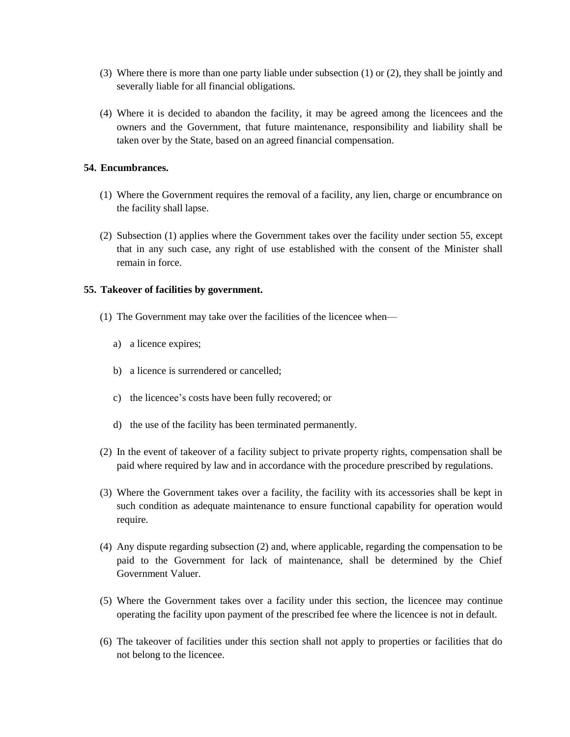- (3) Where there is more than one party liable under subsection (1) or (2), they shall be jointly and severally liable for all financial obligations.
- (4) Where it is decided to abandon the facility, it may be agreed among the licencees and the owners and the Government, that future maintenance, responsibility and liability shall be taken over by the State, based on an agreed financial compensation.

# **54. Encumbrances.**

- (1) Where the Government requires the removal of a facility, any lien, charge or encumbrance on the facility shall lapse.
- (2) Subsection (1) applies where the Government takes over the facility under section 55, except that in any such case, any right of use established with the consent of the Minister shall remain in force.

# **55. Takeover of facilities by government.**

- (1) The Government may take over the facilities of the licencee when
	- a) a licence expires;
	- b) a licence is surrendered or cancelled;
	- c) the licencee's costs have been fully recovered; or
	- d) the use of the facility has been terminated permanently.
- (2) In the event of takeover of a facility subject to private property rights, compensation shall be paid where required by law and in accordance with the procedure prescribed by regulations.
- (3) Where the Government takes over a facility, the facility with its accessories shall be kept in such condition as adequate maintenance to ensure functional capability for operation would require.
- (4) Any dispute regarding subsection (2) and, where applicable, regarding the compensation to be paid to the Government for lack of maintenance, shall be determined by the Chief Government Valuer.
- (5) Where the Government takes over a facility under this section, the licencee may continue operating the facility upon payment of the prescribed fee where the licencee is not in default.
- (6) The takeover of facilities under this section shall not apply to properties or facilities that do not belong to the licencee.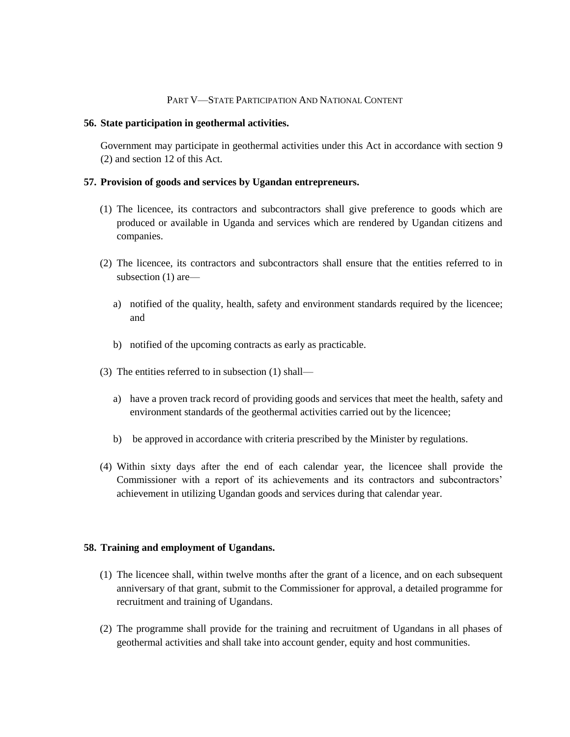#### PART V—STATE PARTICIPATION AND NATIONAL CONTENT

#### **56. State participation in geothermal activities.**

Government may participate in geothermal activities under this Act in accordance with section 9 (2) and section 12 of this Act.

#### **57. Provision of goods and services by Ugandan entrepreneurs.**

- (1) The licencee, its contractors and subcontractors shall give preference to goods which are produced or available in Uganda and services which are rendered by Ugandan citizens and companies.
- (2) The licencee, its contractors and subcontractors shall ensure that the entities referred to in subsection (1) are
	- a) notified of the quality, health, safety and environment standards required by the licencee; and
	- b) notified of the upcoming contracts as early as practicable.
- (3) The entities referred to in subsection (1) shall
	- a) have a proven track record of providing goods and services that meet the health, safety and environment standards of the geothermal activities carried out by the licencee;
	- b) be approved in accordance with criteria prescribed by the Minister by regulations.
- (4) Within sixty days after the end of each calendar year, the licencee shall provide the Commissioner with a report of its achievements and its contractors and subcontractors' achievement in utilizing Ugandan goods and services during that calendar year.

#### **58. Training and employment of Ugandans.**

- (1) The licencee shall, within twelve months after the grant of a licence, and on each subsequent anniversary of that grant, submit to the Commissioner for approval, a detailed programme for recruitment and training of Ugandans.
- (2) The programme shall provide for the training and recruitment of Ugandans in all phases of geothermal activities and shall take into account gender, equity and host communities.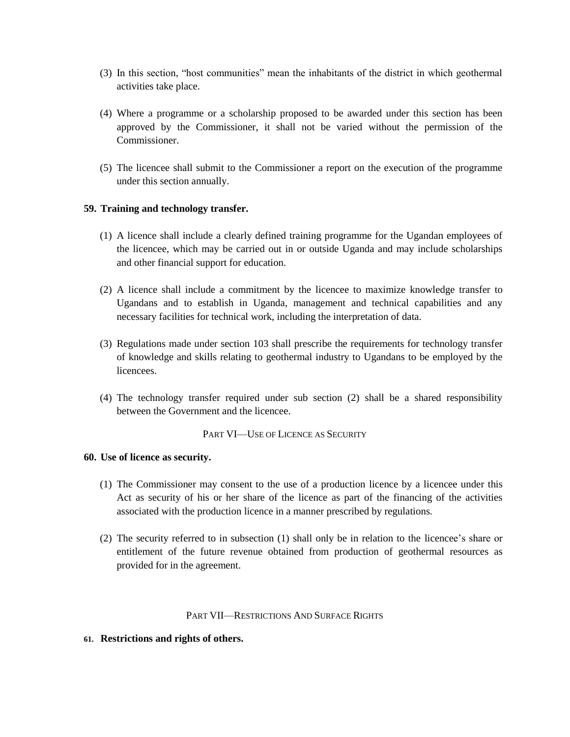- (3) In this section, "host communities" mean the inhabitants of the district in which geothermal activities take place.
- (4) Where a programme or a scholarship proposed to be awarded under this section has been approved by the Commissioner, it shall not be varied without the permission of the **Commissioner**
- (5) The licencee shall submit to the Commissioner a report on the execution of the programme under this section annually.

# **59. Training and technology transfer.**

- (1) A licence shall include a clearly defined training programme for the Ugandan employees of the licencee, which may be carried out in or outside Uganda and may include scholarships and other financial support for education.
- (2) A licence shall include a commitment by the licencee to maximize knowledge transfer to Ugandans and to establish in Uganda, management and technical capabilities and any necessary facilities for technical work, including the interpretation of data.
- (3) Regulations made under section 103 shall prescribe the requirements for technology transfer of knowledge and skills relating to geothermal industry to Ugandans to be employed by the licencees.
- (4) The technology transfer required under sub section (2) shall be a shared responsibility between the Government and the licencee.

#### PART VI—USE OF LICENCE AS SECURITY

#### **60. Use of licence as security.**

- (1) The Commissioner may consent to the use of a production licence by a licencee under this Act as security of his or her share of the licence as part of the financing of the activities associated with the production licence in a manner prescribed by regulations.
- (2) The security referred to in subsection (1) shall only be in relation to the licencee's share or entitlement of the future revenue obtained from production of geothermal resources as provided for in the agreement.

#### PART VII—RESTRICTIONS AND SURFACE RIGHTS

#### **61. Restrictions and rights of others.**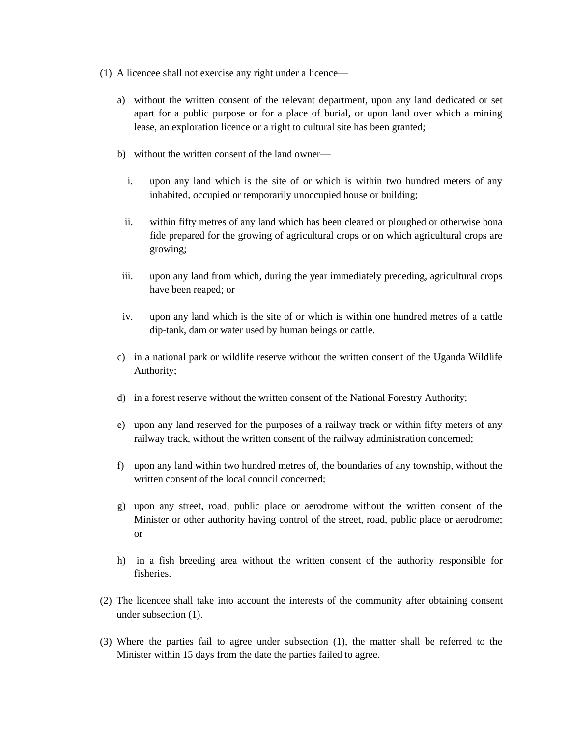- (1) A licencee shall not exercise any right under a licence
	- a) without the written consent of the relevant department, upon any land dedicated or set apart for a public purpose or for a place of burial, or upon land over which a mining lease, an exploration licence or a right to cultural site has been granted;
	- b) without the written consent of the land owner
		- i. upon any land which is the site of or which is within two hundred meters of any inhabited, occupied or temporarily unoccupied house or building;
		- ii. within fifty metres of any land which has been cleared or ploughed or otherwise bona fide prepared for the growing of agricultural crops or on which agricultural crops are growing;
	- iii. upon any land from which, during the year immediately preceding, agricultural crops have been reaped; or
	- iv. upon any land which is the site of or which is within one hundred metres of a cattle dip-tank, dam or water used by human beings or cattle.
	- c) in a national park or wildlife reserve without the written consent of the Uganda Wildlife Authority;
	- d) in a forest reserve without the written consent of the National Forestry Authority;
	- e) upon any land reserved for the purposes of a railway track or within fifty meters of any railway track, without the written consent of the railway administration concerned;
	- f) upon any land within two hundred metres of, the boundaries of any township, without the written consent of the local council concerned;
	- g) upon any street, road, public place or aerodrome without the written consent of the Minister or other authority having control of the street, road, public place or aerodrome; or
	- h) in a fish breeding area without the written consent of the authority responsible for fisheries.
- (2) The licencee shall take into account the interests of the community after obtaining consent under subsection (1).
- (3) Where the parties fail to agree under subsection (1), the matter shall be referred to the Minister within 15 days from the date the parties failed to agree.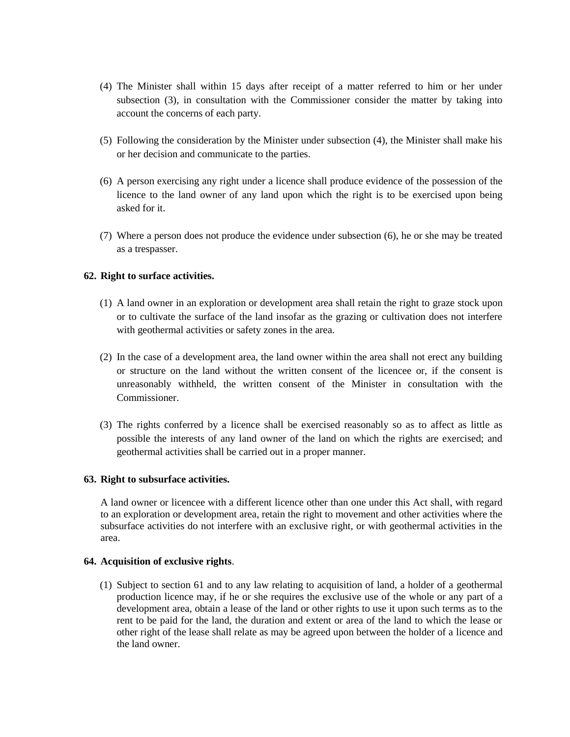- (4) The Minister shall within 15 days after receipt of a matter referred to him or her under subsection (3), in consultation with the Commissioner consider the matter by taking into account the concerns of each party.
- (5) Following the consideration by the Minister under subsection (4), the Minister shall make his or her decision and communicate to the parties.
- (6) A person exercising any right under a licence shall produce evidence of the possession of the licence to the land owner of any land upon which the right is to be exercised upon being asked for it.
- (7) Where a person does not produce the evidence under subsection (6), he or she may be treated as a trespasser.

# **62. Right to surface activities.**

- (1) A land owner in an exploration or development area shall retain the right to graze stock upon or to cultivate the surface of the land insofar as the grazing or cultivation does not interfere with geothermal activities or safety zones in the area.
- (2) In the case of a development area, the land owner within the area shall not erect any building or structure on the land without the written consent of the licencee or, if the consent is unreasonably withheld, the written consent of the Minister in consultation with the Commissioner.
- (3) The rights conferred by a licence shall be exercised reasonably so as to affect as little as possible the interests of any land owner of the land on which the rights are exercised; and geothermal activities shall be carried out in a proper manner.

# **63. Right to subsurface activities.**

A land owner or licencee with a different licence other than one under this Act shall, with regard to an exploration or development area, retain the right to movement and other activities where the subsurface activities do not interfere with an exclusive right, or with geothermal activities in the area.

# **64. Acquisition of exclusive rights**.

(1) Subject to section 61 and to any law relating to acquisition of land, a holder of a geothermal production licence may, if he or she requires the exclusive use of the whole or any part of a development area, obtain a lease of the land or other rights to use it upon such terms as to the rent to be paid for the land, the duration and extent or area of the land to which the lease or other right of the lease shall relate as may be agreed upon between the holder of a licence and the land owner.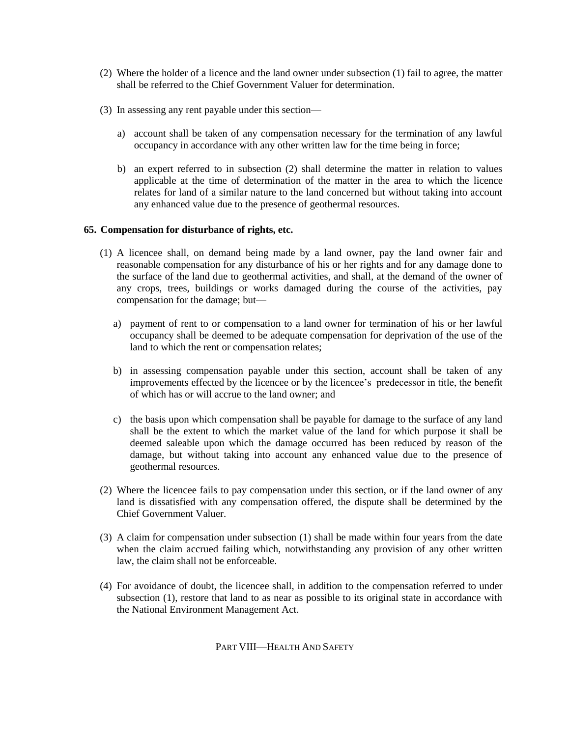- (2) Where the holder of a licence and the land owner under subsection (1) fail to agree, the matter shall be referred to the Chief Government Valuer for determination.
- (3) In assessing any rent payable under this section
	- a) account shall be taken of any compensation necessary for the termination of any lawful occupancy in accordance with any other written law for the time being in force;
	- b) an expert referred to in subsection (2) shall determine the matter in relation to values applicable at the time of determination of the matter in the area to which the licence relates for land of a similar nature to the land concerned but without taking into account any enhanced value due to the presence of geothermal resources.

# **65. Compensation for disturbance of rights, etc.**

- (1) A licencee shall, on demand being made by a land owner, pay the land owner fair and reasonable compensation for any disturbance of his or her rights and for any damage done to the surface of the land due to geothermal activities, and shall, at the demand of the owner of any crops, trees, buildings or works damaged during the course of the activities, pay compensation for the damage; but
	- a) payment of rent to or compensation to a land owner for termination of his or her lawful occupancy shall be deemed to be adequate compensation for deprivation of the use of the land to which the rent or compensation relates;
	- b) in assessing compensation payable under this section, account shall be taken of any improvements effected by the licencee or by the licencee's predecessor in title, the benefit of which has or will accrue to the land owner; and
	- c) the basis upon which compensation shall be payable for damage to the surface of any land shall be the extent to which the market value of the land for which purpose it shall be deemed saleable upon which the damage occurred has been reduced by reason of the damage, but without taking into account any enhanced value due to the presence of geothermal resources.
- (2) Where the licencee fails to pay compensation under this section, or if the land owner of any land is dissatisfied with any compensation offered, the dispute shall be determined by the Chief Government Valuer.
- (3) A claim for compensation under subsection (1) shall be made within four years from the date when the claim accrued failing which, notwithstanding any provision of any other written law, the claim shall not be enforceable.
- (4) For avoidance of doubt, the licencee shall, in addition to the compensation referred to under subsection (1), restore that land to as near as possible to its original state in accordance with the National Environment Management Act.

PART VIII—HEALTH AND SAFETY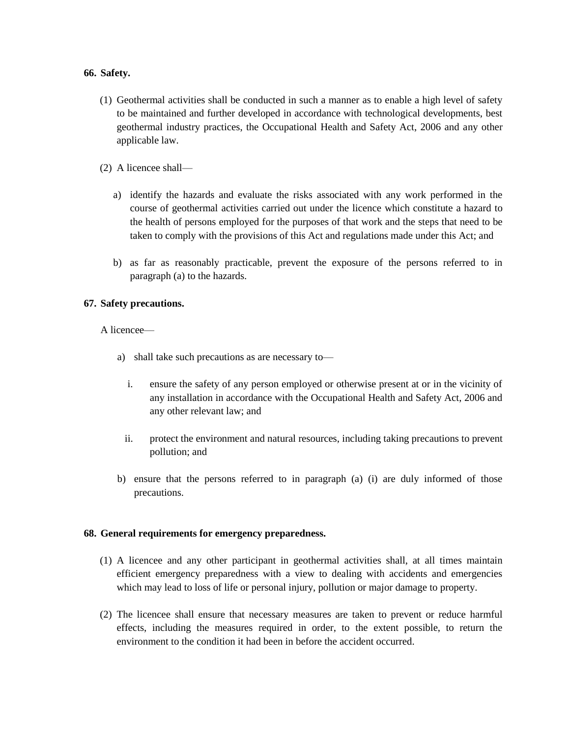#### **66. Safety.**

- (1) Geothermal activities shall be conducted in such a manner as to enable a high level of safety to be maintained and further developed in accordance with technological developments, best geothermal industry practices, the Occupational Health and Safety Act, 2006 and any other applicable law.
- (2) A licencee shall
	- a) identify the hazards and evaluate the risks associated with any work performed in the course of geothermal activities carried out under the licence which constitute a hazard to the health of persons employed for the purposes of that work and the steps that need to be taken to comply with the provisions of this Act and regulations made under this Act; and
	- b) as far as reasonably practicable, prevent the exposure of the persons referred to in paragraph (a) to the hazards.

# **67. Safety precautions.**

A licencee—

- a) shall take such precautions as are necessary to
	- i. ensure the safety of any person employed or otherwise present at or in the vicinity of any installation in accordance with the Occupational Health and Safety Act, 2006 and any other relevant law; and
	- ii. protect the environment and natural resources, including taking precautions to prevent pollution; and
- b) ensure that the persons referred to in paragraph (a) (i) are duly informed of those precautions.

# **68. General requirements for emergency preparedness.**

- (1) A licencee and any other participant in geothermal activities shall, at all times maintain efficient emergency preparedness with a view to dealing with accidents and emergencies which may lead to loss of life or personal injury, pollution or major damage to property.
- (2) The licencee shall ensure that necessary measures are taken to prevent or reduce harmful effects, including the measures required in order, to the extent possible, to return the environment to the condition it had been in before the accident occurred.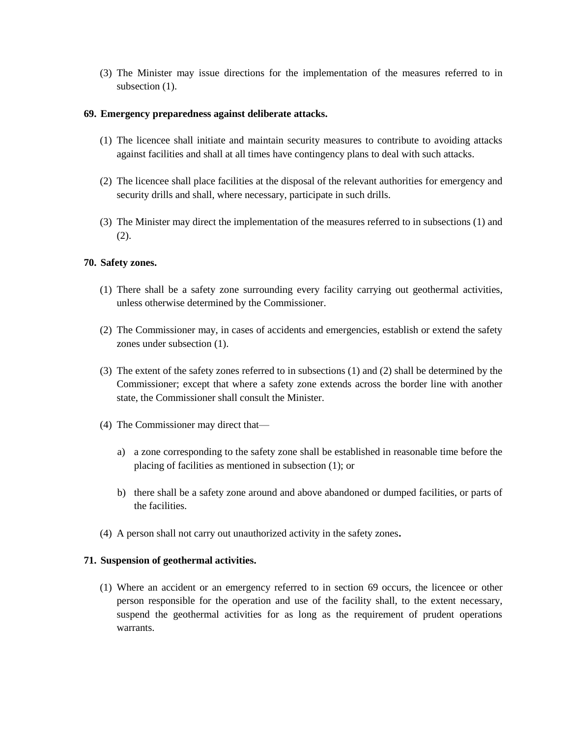(3) The Minister may issue directions for the implementation of the measures referred to in subsection  $(1)$ .

#### **69. Emergency preparedness against deliberate attacks.**

- (1) The licencee shall initiate and maintain security measures to contribute to avoiding attacks against facilities and shall at all times have contingency plans to deal with such attacks.
- (2) The licencee shall place facilities at the disposal of the relevant authorities for emergency and security drills and shall, where necessary, participate in such drills.
- (3) The Minister may direct the implementation of the measures referred to in subsections (1) and (2).

#### **70. Safety zones.**

- (1) There shall be a safety zone surrounding every facility carrying out geothermal activities, unless otherwise determined by the Commissioner.
- (2) The Commissioner may, in cases of accidents and emergencies, establish or extend the safety zones under subsection (1).
- (3) The extent of the safety zones referred to in subsections (1) and (2) shall be determined by the Commissioner; except that where a safety zone extends across the border line with another state, the Commissioner shall consult the Minister.
- (4) The Commissioner may direct that
	- a) a zone corresponding to the safety zone shall be established in reasonable time before the placing of facilities as mentioned in subsection (1); or
	- b) there shall be a safety zone around and above abandoned or dumped facilities, or parts of the facilities.
- (4) A person shall not carry out unauthorized activity in the safety zones**.**

# **71. Suspension of geothermal activities.**

(1) Where an accident or an emergency referred to in section 69 occurs, the licencee or other person responsible for the operation and use of the facility shall, to the extent necessary, suspend the geothermal activities for as long as the requirement of prudent operations warrants.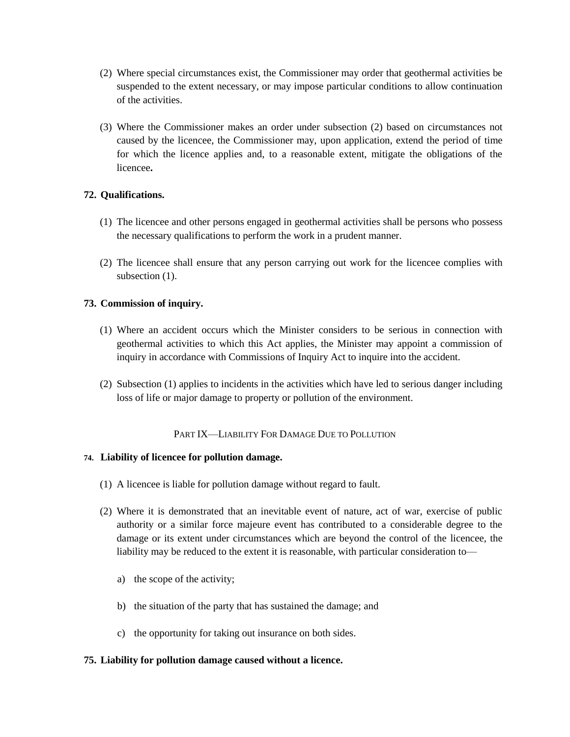- (2) Where special circumstances exist, the Commissioner may order that geothermal activities be suspended to the extent necessary, or may impose particular conditions to allow continuation of the activities.
- (3) Where the Commissioner makes an order under subsection (2) based on circumstances not caused by the licencee, the Commissioner may, upon application, extend the period of time for which the licence applies and, to a reasonable extent, mitigate the obligations of the licencee**.**

# **72. Qualifications.**

- (1) The licencee and other persons engaged in geothermal activities shall be persons who possess the necessary qualifications to perform the work in a prudent manner.
- (2) The licencee shall ensure that any person carrying out work for the licencee complies with subsection  $(1)$ .

# **73. Commission of inquiry.**

- (1) Where an accident occurs which the Minister considers to be serious in connection with geothermal activities to which this Act applies, the Minister may appoint a commission of inquiry in accordance with Commissions of Inquiry Act to inquire into the accident.
- (2) Subsection (1) applies to incidents in the activities which have led to serious danger including loss of life or major damage to property or pollution of the environment.

# PART IX—LIABILITY FOR DAMAGE DUE TO POLLUTION

# **74. Liability of licencee for pollution damage.**

- (1) A licencee is liable for pollution damage without regard to fault.
- (2) Where it is demonstrated that an inevitable event of nature, act of war, exercise of public authority or a similar force majeure event has contributed to a considerable degree to the damage or its extent under circumstances which are beyond the control of the licencee, the liability may be reduced to the extent it is reasonable, with particular consideration to
	- a) the scope of the activity;
	- b) the situation of the party that has sustained the damage; and
	- c) the opportunity for taking out insurance on both sides.

#### **75. Liability for pollution damage caused without a licence.**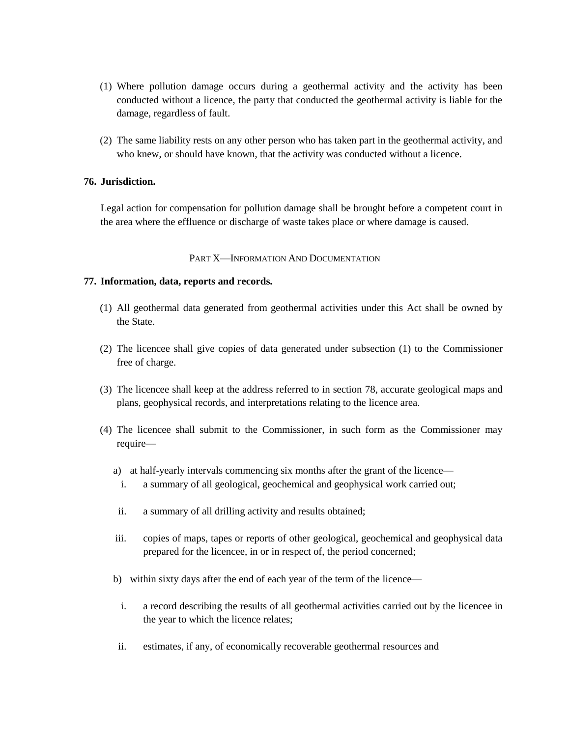- (1) Where pollution damage occurs during a geothermal activity and the activity has been conducted without a licence, the party that conducted the geothermal activity is liable for the damage, regardless of fault.
- (2) The same liability rests on any other person who has taken part in the geothermal activity, and who knew, or should have known, that the activity was conducted without a licence.

# **76. Jurisdiction.**

Legal action for compensation for pollution damage shall be brought before a competent court in the area where the effluence or discharge of waste takes place or where damage is caused.

#### PART X—INFORMATION AND DOCUMENTATION

#### **77. Information, data, reports and records.**

- (1) All geothermal data generated from geothermal activities under this Act shall be owned by the State.
- (2) The licencee shall give copies of data generated under subsection (1) to the Commissioner free of charge.
- (3) The licencee shall keep at the address referred to in section 78, accurate geological maps and plans, geophysical records, and interpretations relating to the licence area.
- (4) The licencee shall submit to the Commissioner, in such form as the Commissioner may require
	- a) at half-yearly intervals commencing six months after the grant of the licence
		- i. a summary of all geological, geochemical and geophysical work carried out;
	- ii. a summary of all drilling activity and results obtained;
	- iii. copies of maps, tapes or reports of other geological, geochemical and geophysical data prepared for the licencee, in or in respect of, the period concerned;
	- b) within sixty days after the end of each year of the term of the licence
		- i. a record describing the results of all geothermal activities carried out by the licencee in the year to which the licence relates;
	- ii. estimates, if any, of economically recoverable geothermal resources and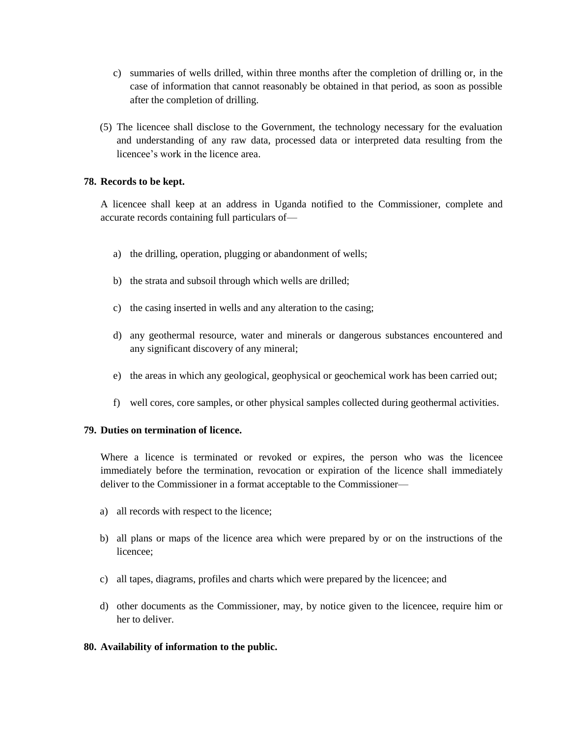- c) summaries of wells drilled, within three months after the completion of drilling or, in the case of information that cannot reasonably be obtained in that period, as soon as possible after the completion of drilling.
- (5) The licencee shall disclose to the Government, the technology necessary for the evaluation and understanding of any raw data, processed data or interpreted data resulting from the licencee's work in the licence area.

# **78. Records to be kept.**

A licencee shall keep at an address in Uganda notified to the Commissioner, complete and accurate records containing full particulars of—

- a) the drilling, operation, plugging or abandonment of wells;
- b) the strata and subsoil through which wells are drilled;
- c) the casing inserted in wells and any alteration to the casing;
- d) any geothermal resource, water and minerals or dangerous substances encountered and any significant discovery of any mineral;
- e) the areas in which any geological, geophysical or geochemical work has been carried out;
- f) well cores, core samples, or other physical samples collected during geothermal activities.

# **79. Duties on termination of licence.**

Where a licence is terminated or revoked or expires, the person who was the licencee immediately before the termination, revocation or expiration of the licence shall immediately deliver to the Commissioner in a format acceptable to the Commissioner—

- a) all records with respect to the licence;
- b) all plans or maps of the licence area which were prepared by or on the instructions of the licencee;
- c) all tapes, diagrams, profiles and charts which were prepared by the licencee; and
- d) other documents as the Commissioner, may, by notice given to the licencee, require him or her to deliver.

# **80. Availability of information to the public.**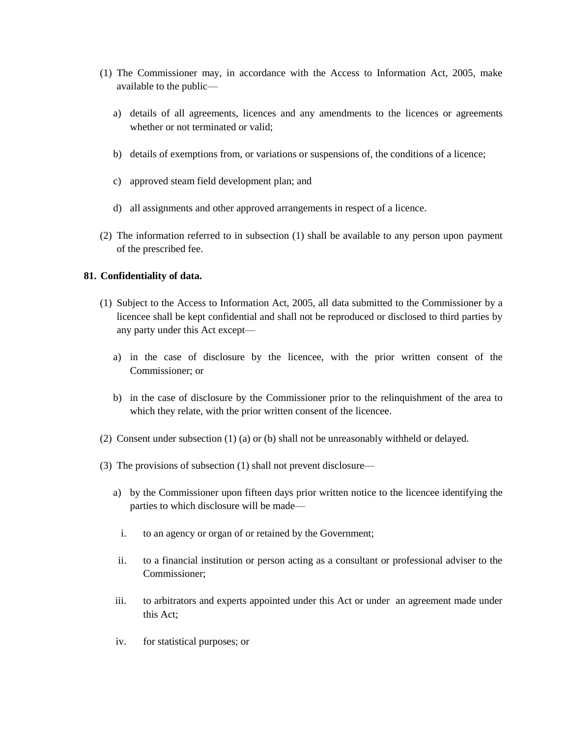- (1) The Commissioner may, in accordance with the Access to Information Act, 2005, make available to the public
	- a) details of all agreements, licences and any amendments to the licences or agreements whether or not terminated or valid;
	- b) details of exemptions from, or variations or suspensions of, the conditions of a licence;
	- c) approved steam field development plan; and
	- d) all assignments and other approved arrangements in respect of a licence.
- (2) The information referred to in subsection (1) shall be available to any person upon payment of the prescribed fee.

# **81. Confidentiality of data.**

- (1) Subject to the Access to Information Act, 2005, all data submitted to the Commissioner by a licencee shall be kept confidential and shall not be reproduced or disclosed to third parties by any party under this Act except
	- a) in the case of disclosure by the licencee, with the prior written consent of the Commissioner; or
	- b) in the case of disclosure by the Commissioner prior to the relinquishment of the area to which they relate, with the prior written consent of the licencee.
- (2) Consent under subsection (1) (a) or (b) shall not be unreasonably withheld or delayed.
- (3) The provisions of subsection (1) shall not prevent disclosure
	- a) by the Commissioner upon fifteen days prior written notice to the licencee identifying the parties to which disclosure will be made
		- i. to an agency or organ of or retained by the Government;
	- ii. to a financial institution or person acting as a consultant or professional adviser to the Commissioner;
	- iii. to arbitrators and experts appointed under this Act or under an agreement made under this Act;
	- iv. for statistical purposes; or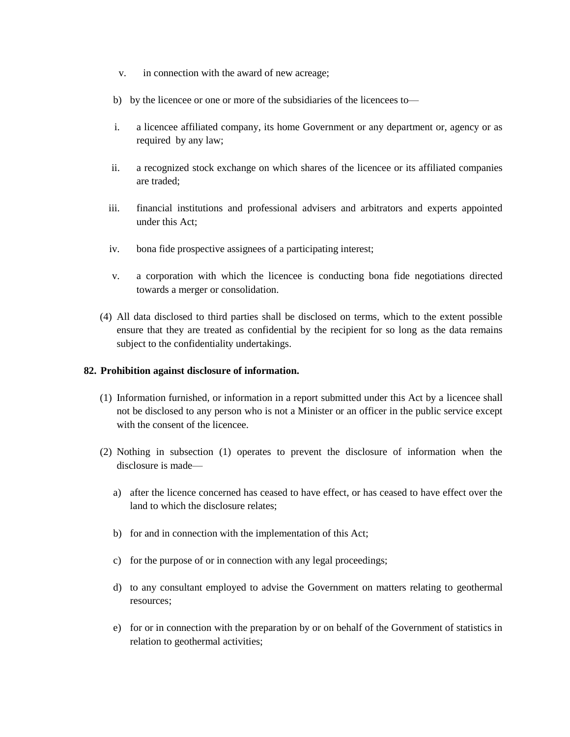- v. in connection with the award of new acreage;
- b) by the licencee or one or more of the subsidiaries of the licencees to—
- i. a licencee affiliated company, its home Government or any department or, agency or as required by any law;
- ii. a recognized stock exchange on which shares of the licencee or its affiliated companies are traded;
- iii. financial institutions and professional advisers and arbitrators and experts appointed under this Act;
- iv. bona fide prospective assignees of a participating interest;
- v. a corporation with which the licencee is conducting bona fide negotiations directed towards a merger or consolidation.
- (4) All data disclosed to third parties shall be disclosed on terms, which to the extent possible ensure that they are treated as confidential by the recipient for so long as the data remains subject to the confidentiality undertakings.

# **82. Prohibition against disclosure of information.**

- (1) Information furnished, or information in a report submitted under this Act by a licencee shall not be disclosed to any person who is not a Minister or an officer in the public service except with the consent of the licencee.
- (2) Nothing in subsection (1) operates to prevent the disclosure of information when the disclosure is made
	- a) after the licence concerned has ceased to have effect, or has ceased to have effect over the land to which the disclosure relates;
	- b) for and in connection with the implementation of this Act;
	- c) for the purpose of or in connection with any legal proceedings;
	- d) to any consultant employed to advise the Government on matters relating to geothermal resources;
	- e) for or in connection with the preparation by or on behalf of the Government of statistics in relation to geothermal activities;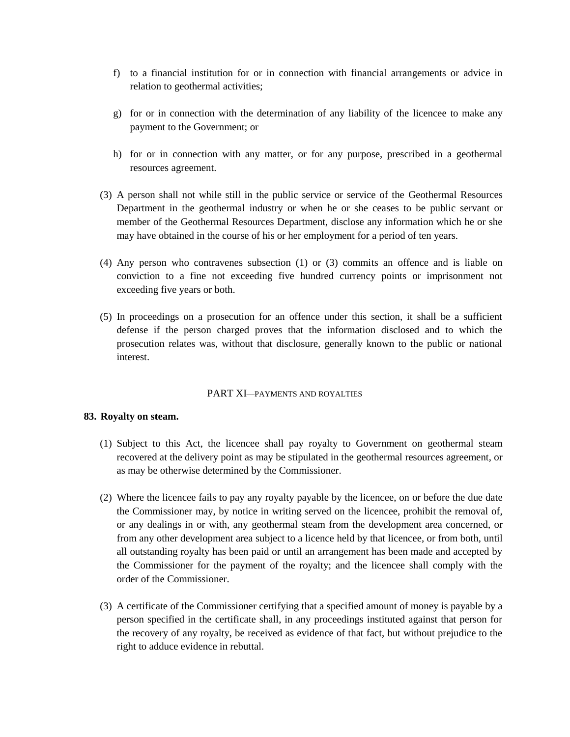- f) to a financial institution for or in connection with financial arrangements or advice in relation to geothermal activities;
- g) for or in connection with the determination of any liability of the licencee to make any payment to the Government; or
- h) for or in connection with any matter, or for any purpose, prescribed in a geothermal resources agreement.
- (3) A person shall not while still in the public service or service of the Geothermal Resources Department in the geothermal industry or when he or she ceases to be public servant or member of the Geothermal Resources Department, disclose any information which he or she may have obtained in the course of his or her employment for a period of ten years.
- (4) Any person who contravenes subsection (1) or (3) commits an offence and is liable on conviction to a fine not exceeding five hundred currency points or imprisonment not exceeding five years or both.
- (5) In proceedings on a prosecution for an offence under this section, it shall be a sufficient defense if the person charged proves that the information disclosed and to which the prosecution relates was, without that disclosure, generally known to the public or national interest.

#### PART XI—PAYMENTS AND ROYALTIES

#### **83. Royalty on steam.**

- (1) Subject to this Act, the licencee shall pay royalty to Government on geothermal steam recovered at the delivery point as may be stipulated in the geothermal resources agreement, or as may be otherwise determined by the Commissioner.
- (2) Where the licencee fails to pay any royalty payable by the licencee, on or before the due date the Commissioner may, by notice in writing served on the licencee, prohibit the removal of, or any dealings in or with, any geothermal steam from the development area concerned, or from any other development area subject to a licence held by that licencee, or from both, until all outstanding royalty has been paid or until an arrangement has been made and accepted by the Commissioner for the payment of the royalty; and the licencee shall comply with the order of the Commissioner.
- (3) A certificate of the Commissioner certifying that a specified amount of money is payable by a person specified in the certificate shall, in any proceedings instituted against that person for the recovery of any royalty, be received as evidence of that fact, but without prejudice to the right to adduce evidence in rebuttal.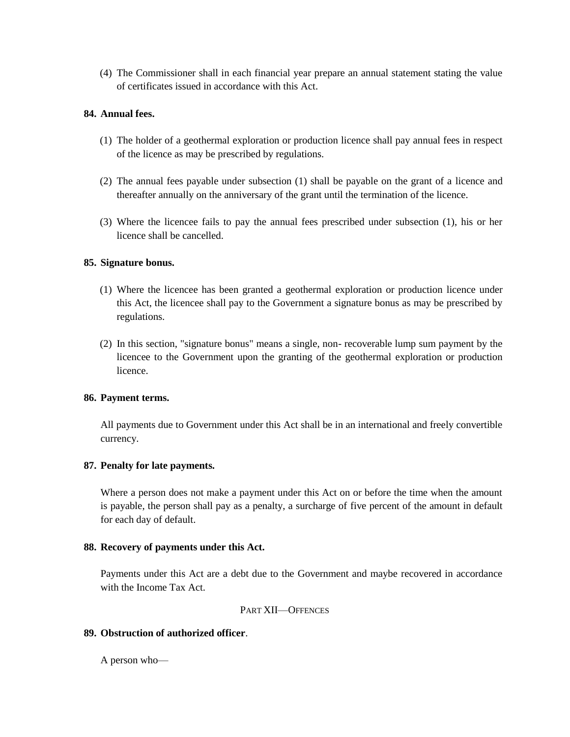(4) The Commissioner shall in each financial year prepare an annual statement stating the value of certificates issued in accordance with this Act.

# **84. Annual fees.**

- (1) The holder of a geothermal exploration or production licence shall pay annual fees in respect of the licence as may be prescribed by regulations.
- (2) The annual fees payable under subsection (1) shall be payable on the grant of a licence and thereafter annually on the anniversary of the grant until the termination of the licence.
- (3) Where the licencee fails to pay the annual fees prescribed under subsection (1), his or her licence shall be cancelled.

#### **85. Signature bonus.**

- (1) Where the licencee has been granted a geothermal exploration or production licence under this Act, the licencee shall pay to the Government a signature bonus as may be prescribed by regulations.
- (2) In this section, "signature bonus" means a single, non- recoverable lump sum payment by the licencee to the Government upon the granting of the geothermal exploration or production licence.

#### **86. Payment terms.**

All payments due to Government under this Act shall be in an international and freely convertible currency.

# **87. Penalty for late payments.**

Where a person does not make a payment under this Act on or before the time when the amount is payable, the person shall pay as a penalty, a surcharge of five percent of the amount in default for each day of default.

#### **88. Recovery of payments under this Act.**

Payments under this Act are a debt due to the Government and maybe recovered in accordance with the Income Tax Act.

#### PART XII—OFFENCES

#### **89. Obstruction of authorized officer**.

A person who—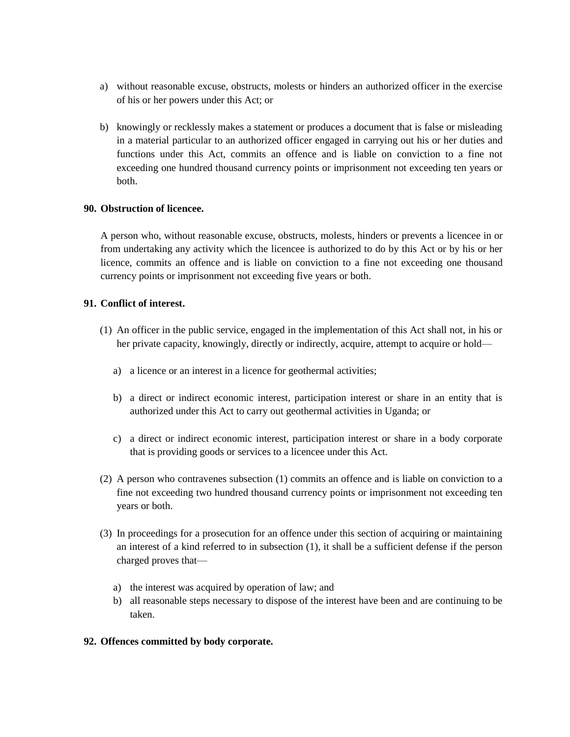- a) without reasonable excuse, obstructs, molests or hinders an authorized officer in the exercise of his or her powers under this Act; or
- b) knowingly or recklessly makes a statement or produces a document that is false or misleading in a material particular to an authorized officer engaged in carrying out his or her duties and functions under this Act, commits an offence and is liable on conviction to a fine not exceeding one hundred thousand currency points or imprisonment not exceeding ten years or both.

#### **90. Obstruction of licencee.**

A person who, without reasonable excuse, obstructs, molests, hinders or prevents a licencee in or from undertaking any activity which the licencee is authorized to do by this Act or by his or her licence, commits an offence and is liable on conviction to a fine not exceeding one thousand currency points or imprisonment not exceeding five years or both.

# **91. Conflict of interest.**

- (1) An officer in the public service, engaged in the implementation of this Act shall not, in his or her private capacity, knowingly, directly or indirectly, acquire, attempt to acquire or hold
	- a) a licence or an interest in a licence for geothermal activities;
	- b) a direct or indirect economic interest, participation interest or share in an entity that is authorized under this Act to carry out geothermal activities in Uganda; or
	- c) a direct or indirect economic interest, participation interest or share in a body corporate that is providing goods or services to a licencee under this Act.
- (2) A person who contravenes subsection (1) commits an offence and is liable on conviction to a fine not exceeding two hundred thousand currency points or imprisonment not exceeding ten years or both.
- (3) In proceedings for a prosecution for an offence under this section of acquiring or maintaining an interest of a kind referred to in subsection (1), it shall be a sufficient defense if the person charged proves that
	- a) the interest was acquired by operation of law; and
	- b) all reasonable steps necessary to dispose of the interest have been and are continuing to be taken.

#### **92. Offences committed by body corporate.**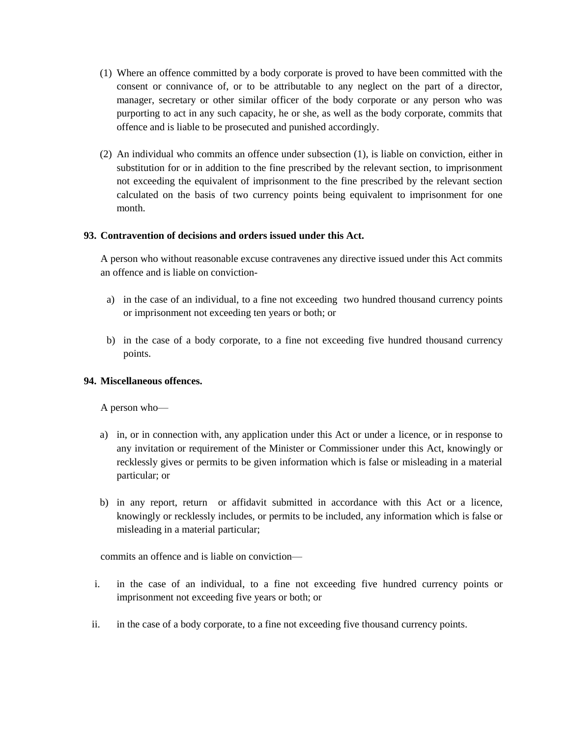- (1) Where an offence committed by a body corporate is proved to have been committed with the consent or connivance of, or to be attributable to any neglect on the part of a director, manager, secretary or other similar officer of the body corporate or any person who was purporting to act in any such capacity, he or she, as well as the body corporate, commits that offence and is liable to be prosecuted and punished accordingly.
- (2) An individual who commits an offence under subsection (1), is liable on conviction, either in substitution for or in addition to the fine prescribed by the relevant section, to imprisonment not exceeding the equivalent of imprisonment to the fine prescribed by the relevant section calculated on the basis of two currency points being equivalent to imprisonment for one month.

# **93. Contravention of decisions and orders issued under this Act.**

A person who without reasonable excuse contravenes any directive issued under this Act commits an offence and is liable on conviction-

- a) in the case of an individual, to a fine not exceeding two hundred thousand currency points or imprisonment not exceeding ten years or both; or
- b) in the case of a body corporate, to a fine not exceeding five hundred thousand currency points.

# **94. Miscellaneous offences.**

A person who—

- a) in, or in connection with, any application under this Act or under a licence, or in response to any invitation or requirement of the Minister or Commissioner under this Act, knowingly or recklessly gives or permits to be given information which is false or misleading in a material particular; or
- b) in any report, return or affidavit submitted in accordance with this Act or a licence, knowingly or recklessly includes, or permits to be included, any information which is false or misleading in a material particular;

commits an offence and is liable on conviction—

- i. in the case of an individual, to a fine not exceeding five hundred currency points or imprisonment not exceeding five years or both; or
- ii. in the case of a body corporate, to a fine not exceeding five thousand currency points.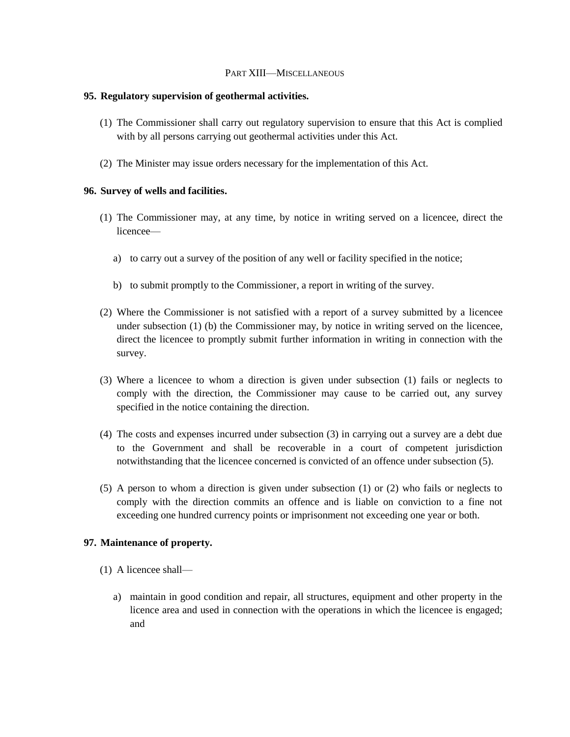#### PART XIII—MISCELLANEOUS

# **95. Regulatory supervision of geothermal activities.**

- (1) The Commissioner shall carry out regulatory supervision to ensure that this Act is complied with by all persons carrying out geothermal activities under this Act.
- (2) The Minister may issue orders necessary for the implementation of this Act.

# **96. Survey of wells and facilities.**

- (1) The Commissioner may, at any time, by notice in writing served on a licencee, direct the licencee
	- a) to carry out a survey of the position of any well or facility specified in the notice;
	- b) to submit promptly to the Commissioner, a report in writing of the survey.
- (2) Where the Commissioner is not satisfied with a report of a survey submitted by a licencee under subsection  $(1)$  (b) the Commissioner may, by notice in writing served on the licencee, direct the licencee to promptly submit further information in writing in connection with the survey.
- (3) Where a licencee to whom a direction is given under subsection (1) fails or neglects to comply with the direction, the Commissioner may cause to be carried out, any survey specified in the notice containing the direction.
- (4) The costs and expenses incurred under subsection (3) in carrying out a survey are a debt due to the Government and shall be recoverable in a court of competent jurisdiction notwithstanding that the licencee concerned is convicted of an offence under subsection (5).
- (5) A person to whom a direction is given under subsection (1) or (2) who fails or neglects to comply with the direction commits an offence and is liable on conviction to a fine not exceeding one hundred currency points or imprisonment not exceeding one year or both.

# **97. Maintenance of property.**

- (1) A licencee shall
	- a) maintain in good condition and repair, all structures, equipment and other property in the licence area and used in connection with the operations in which the licencee is engaged; and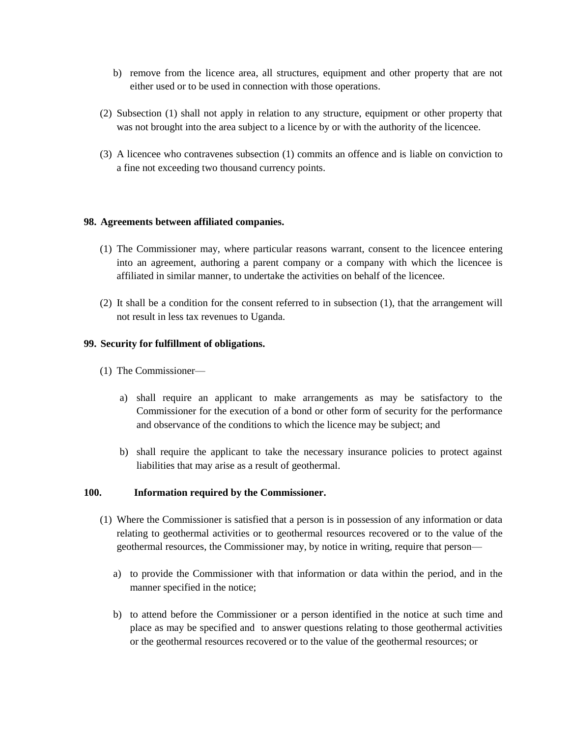- b) remove from the licence area, all structures, equipment and other property that are not either used or to be used in connection with those operations.
- (2) Subsection (1) shall not apply in relation to any structure, equipment or other property that was not brought into the area subject to a licence by or with the authority of the licencee.
- (3) A licencee who contravenes subsection (1) commits an offence and is liable on conviction to a fine not exceeding two thousand currency points.

#### **98. Agreements between affiliated companies.**

- (1) The Commissioner may, where particular reasons warrant, consent to the licencee entering into an agreement, authoring a parent company or a company with which the licencee is affiliated in similar manner, to undertake the activities on behalf of the licencee.
- (2) It shall be a condition for the consent referred to in subsection (1), that the arrangement will not result in less tax revenues to Uganda.

#### **99. Security for fulfillment of obligations.**

- (1) The Commissioner
	- a) shall require an applicant to make arrangements as may be satisfactory to the Commissioner for the execution of a bond or other form of security for the performance and observance of the conditions to which the licence may be subject; and
	- b) shall require the applicant to take the necessary insurance policies to protect against liabilities that may arise as a result of geothermal.

#### **100. Information required by the Commissioner.**

- (1) Where the Commissioner is satisfied that a person is in possession of any information or data relating to geothermal activities or to geothermal resources recovered or to the value of the geothermal resources, the Commissioner may, by notice in writing, require that person
	- a) to provide the Commissioner with that information or data within the period, and in the manner specified in the notice;
	- b) to attend before the Commissioner or a person identified in the notice at such time and place as may be specified and to answer questions relating to those geothermal activities or the geothermal resources recovered or to the value of the geothermal resources; or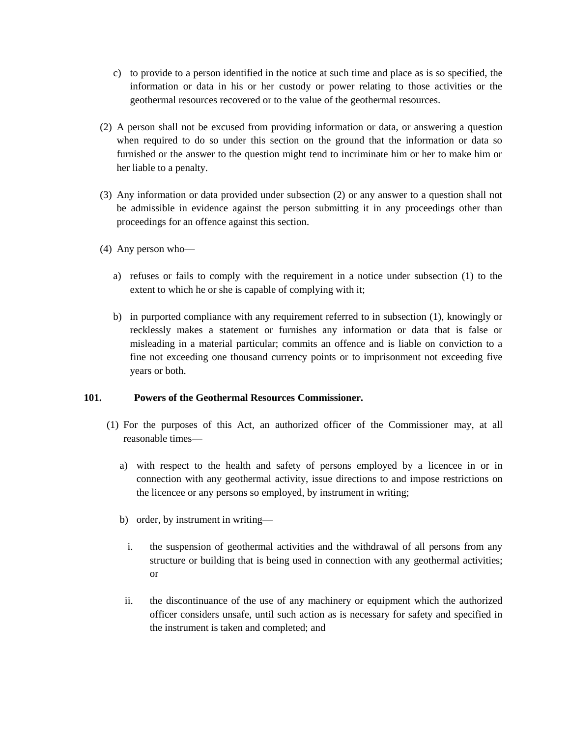- c) to provide to a person identified in the notice at such time and place as is so specified, the information or data in his or her custody or power relating to those activities or the geothermal resources recovered or to the value of the geothermal resources.
- (2) A person shall not be excused from providing information or data, or answering a question when required to do so under this section on the ground that the information or data so furnished or the answer to the question might tend to incriminate him or her to make him or her liable to a penalty.
- (3) Any information or data provided under subsection (2) or any answer to a question shall not be admissible in evidence against the person submitting it in any proceedings other than proceedings for an offence against this section.
- (4) Any person who
	- a) refuses or fails to comply with the requirement in a notice under subsection (1) to the extent to which he or she is capable of complying with it;
	- b) in purported compliance with any requirement referred to in subsection (1), knowingly or recklessly makes a statement or furnishes any information or data that is false or misleading in a material particular; commits an offence and is liable on conviction to a fine not exceeding one thousand currency points or to imprisonment not exceeding five years or both.

# **101. Powers of the Geothermal Resources Commissioner.**

- (1) For the purposes of this Act, an authorized officer of the Commissioner may, at all reasonable times
	- a) with respect to the health and safety of persons employed by a licencee in or in connection with any geothermal activity, issue directions to and impose restrictions on the licencee or any persons so employed, by instrument in writing;
	- b) order, by instrument in writing
		- i. the suspension of geothermal activities and the withdrawal of all persons from any structure or building that is being used in connection with any geothermal activities; or
	- ii. the discontinuance of the use of any machinery or equipment which the authorized officer considers unsafe, until such action as is necessary for safety and specified in the instrument is taken and completed; and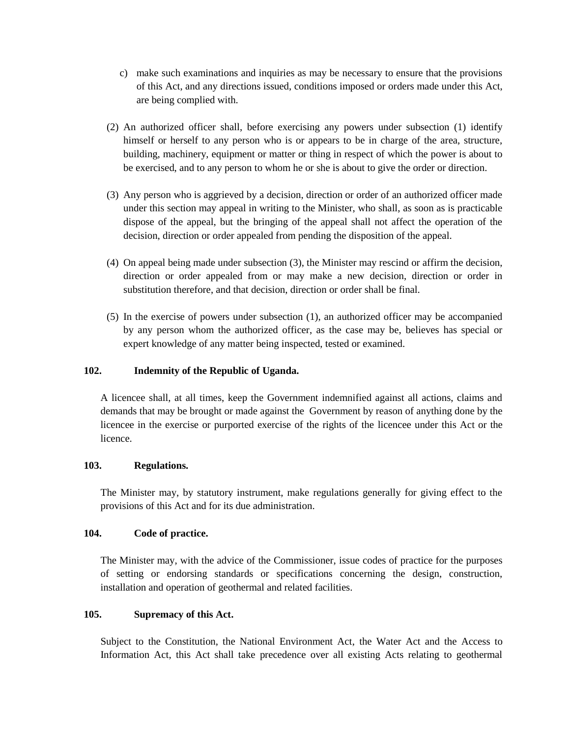- c) make such examinations and inquiries as may be necessary to ensure that the provisions of this Act, and any directions issued, conditions imposed or orders made under this Act, are being complied with.
- (2) An authorized officer shall, before exercising any powers under subsection (1) identify himself or herself to any person who is or appears to be in charge of the area, structure, building, machinery, equipment or matter or thing in respect of which the power is about to be exercised, and to any person to whom he or she is about to give the order or direction.
- (3) Any person who is aggrieved by a decision, direction or order of an authorized officer made under this section may appeal in writing to the Minister, who shall, as soon as is practicable dispose of the appeal, but the bringing of the appeal shall not affect the operation of the decision, direction or order appealed from pending the disposition of the appeal.
- (4) On appeal being made under subsection (3), the Minister may rescind or affirm the decision, direction or order appealed from or may make a new decision, direction or order in substitution therefore, and that decision, direction or order shall be final.
- (5) In the exercise of powers under subsection (1), an authorized officer may be accompanied by any person whom the authorized officer, as the case may be, believes has special or expert knowledge of any matter being inspected, tested or examined.

# **102. Indemnity of the Republic of Uganda.**

A licencee shall, at all times, keep the Government indemnified against all actions, claims and demands that may be brought or made against the Government by reason of anything done by the licencee in the exercise or purported exercise of the rights of the licencee under this Act or the licence.

# **103. Regulations.**

The Minister may, by statutory instrument, make regulations generally for giving effect to the provisions of this Act and for its due administration.

# **104. Code of practice.**

The Minister may, with the advice of the Commissioner, issue codes of practice for the purposes of setting or endorsing standards or specifications concerning the design, construction, installation and operation of geothermal and related facilities.

# **105. Supremacy of this Act.**

Subject to the Constitution, the National Environment Act, the Water Act and the Access to Information Act, this Act shall take precedence over all existing Acts relating to geothermal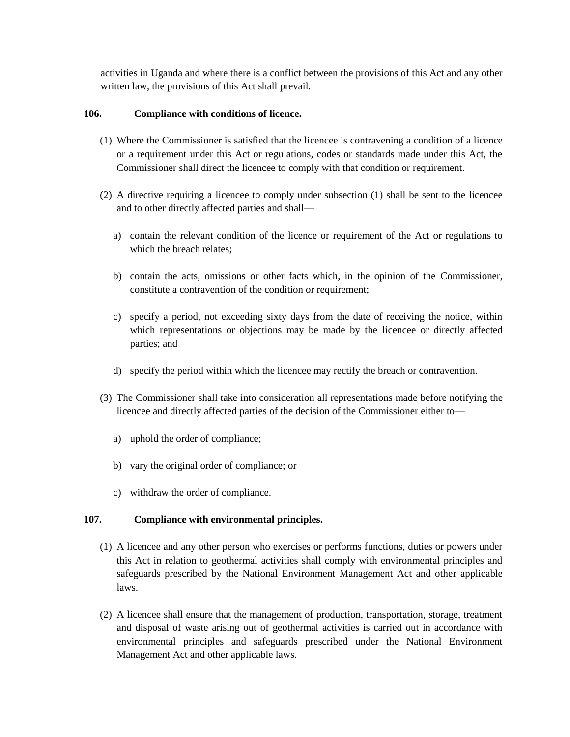activities in Uganda and where there is a conflict between the provisions of this Act and any other written law, the provisions of this Act shall prevail.

# **106. Compliance with conditions of licence.**

- (1) Where the Commissioner is satisfied that the licencee is contravening a condition of a licence or a requirement under this Act or regulations, codes or standards made under this Act, the Commissioner shall direct the licencee to comply with that condition or requirement.
- (2) A directive requiring a licencee to comply under subsection (1) shall be sent to the licencee and to other directly affected parties and shall
	- a) contain the relevant condition of the licence or requirement of the Act or regulations to which the breach relates;
	- b) contain the acts, omissions or other facts which, in the opinion of the Commissioner, constitute a contravention of the condition or requirement;
	- c) specify a period, not exceeding sixty days from the date of receiving the notice, within which representations or objections may be made by the licencee or directly affected parties; and
	- d) specify the period within which the licencee may rectify the breach or contravention.
- (3) The Commissioner shall take into consideration all representations made before notifying the licencee and directly affected parties of the decision of the Commissioner either to
	- a) uphold the order of compliance;
	- b) vary the original order of compliance; or
	- c) withdraw the order of compliance.

# **107. Compliance with environmental principles.**

- (1) A licencee and any other person who exercises or performs functions, duties or powers under this Act in relation to geothermal activities shall comply with environmental principles and safeguards prescribed by the National Environment Management Act and other applicable laws.
- (2) A licencee shall ensure that the management of production, transportation, storage, treatment and disposal of waste arising out of geothermal activities is carried out in accordance with environmental principles and safeguards prescribed under the National Environment Management Act and other applicable laws.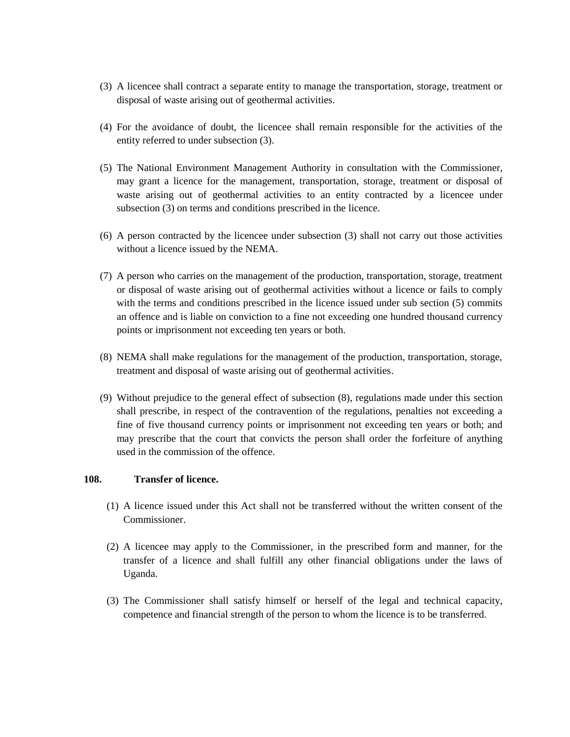- (3) A licencee shall contract a separate entity to manage the transportation, storage, treatment or disposal of waste arising out of geothermal activities.
- (4) For the avoidance of doubt, the licencee shall remain responsible for the activities of the entity referred to under subsection (3).
- (5) The National Environment Management Authority in consultation with the Commissioner, may grant a licence for the management, transportation, storage, treatment or disposal of waste arising out of geothermal activities to an entity contracted by a licencee under subsection (3) on terms and conditions prescribed in the licence.
- (6) A person contracted by the licencee under subsection (3) shall not carry out those activities without a licence issued by the NEMA.
- (7) A person who carries on the management of the production, transportation, storage, treatment or disposal of waste arising out of geothermal activities without a licence or fails to comply with the terms and conditions prescribed in the licence issued under sub section (5) commits an offence and is liable on conviction to a fine not exceeding one hundred thousand currency points or imprisonment not exceeding ten years or both.
- (8) NEMA shall make regulations for the management of the production, transportation, storage, treatment and disposal of waste arising out of geothermal activities.
- (9) Without prejudice to the general effect of subsection (8), regulations made under this section shall prescribe, in respect of the contravention of the regulations, penalties not exceeding a fine of five thousand currency points or imprisonment not exceeding ten years or both; and may prescribe that the court that convicts the person shall order the forfeiture of anything used in the commission of the offence.

#### **108. Transfer of licence.**

- (1) A licence issued under this Act shall not be transferred without the written consent of the **Commissioner**
- (2) A licencee may apply to the Commissioner, in the prescribed form and manner, for the transfer of a licence and shall fulfill any other financial obligations under the laws of Uganda.
- (3) The Commissioner shall satisfy himself or herself of the legal and technical capacity, competence and financial strength of the person to whom the licence is to be transferred.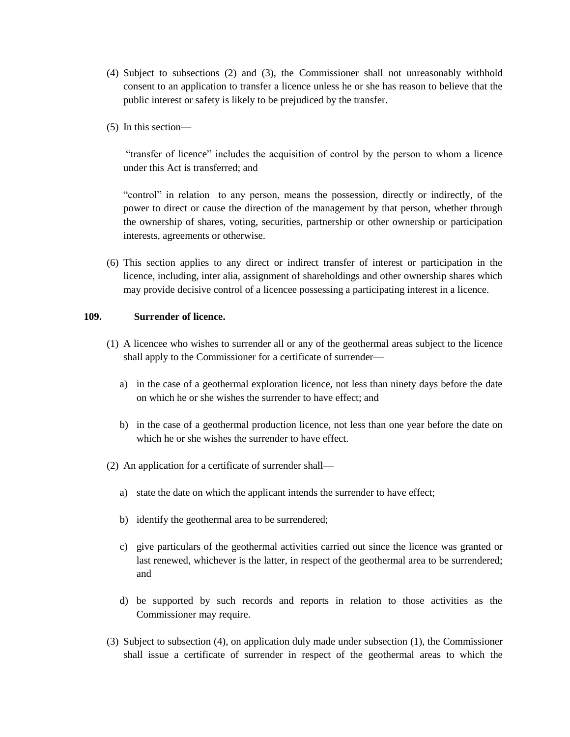- (4) Subject to subsections (2) and (3), the Commissioner shall not unreasonably withhold consent to an application to transfer a licence unless he or she has reason to believe that the public interest or safety is likely to be prejudiced by the transfer.
- (5) In this section—

"transfer of licence" includes the acquisition of control by the person to whom a licence under this Act is transferred; and

"control" in relation to any person, means the possession, directly or indirectly, of the power to direct or cause the direction of the management by that person, whether through the ownership of shares, voting, securities, partnership or other ownership or participation interests, agreements or otherwise.

(6) This section applies to any direct or indirect transfer of interest or participation in the licence, including, inter alia, assignment of shareholdings and other ownership shares which may provide decisive control of a licencee possessing a participating interest in a licence.

#### **109. Surrender of licence.**

- (1) A licencee who wishes to surrender all or any of the geothermal areas subject to the licence shall apply to the Commissioner for a certificate of surrender
	- a) in the case of a geothermal exploration licence, not less than ninety days before the date on which he or she wishes the surrender to have effect; and
	- b) in the case of a geothermal production licence, not less than one year before the date on which he or she wishes the surrender to have effect.
- (2) An application for a certificate of surrender shall
	- a) state the date on which the applicant intends the surrender to have effect;
	- b) identify the geothermal area to be surrendered;
	- c) give particulars of the geothermal activities carried out since the licence was granted or last renewed, whichever is the latter, in respect of the geothermal area to be surrendered; and
	- d) be supported by such records and reports in relation to those activities as the Commissioner may require.
- (3) Subject to subsection (4), on application duly made under subsection (1), the Commissioner shall issue a certificate of surrender in respect of the geothermal areas to which the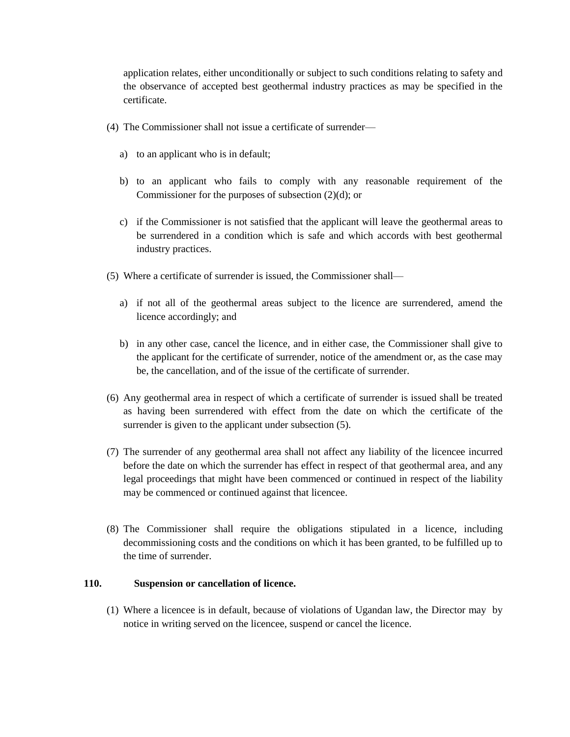application relates, either unconditionally or subject to such conditions relating to safety and the observance of accepted best geothermal industry practices as may be specified in the certificate.

- (4) The Commissioner shall not issue a certificate of surrender
	- a) to an applicant who is in default;
	- b) to an applicant who fails to comply with any reasonable requirement of the Commissioner for the purposes of subsection (2)(d); or
	- c) if the Commissioner is not satisfied that the applicant will leave the geothermal areas to be surrendered in a condition which is safe and which accords with best geothermal industry practices.
- (5) Where a certificate of surrender is issued, the Commissioner shall
	- a) if not all of the geothermal areas subject to the licence are surrendered, amend the licence accordingly; and
	- b) in any other case, cancel the licence, and in either case, the Commissioner shall give to the applicant for the certificate of surrender, notice of the amendment or, as the case may be, the cancellation, and of the issue of the certificate of surrender.
- (6) Any geothermal area in respect of which a certificate of surrender is issued shall be treated as having been surrendered with effect from the date on which the certificate of the surrender is given to the applicant under subsection  $(5)$ .
- (7) The surrender of any geothermal area shall not affect any liability of the licencee incurred before the date on which the surrender has effect in respect of that geothermal area, and any legal proceedings that might have been commenced or continued in respect of the liability may be commenced or continued against that licencee.
- (8) The Commissioner shall require the obligations stipulated in a licence, including decommissioning costs and the conditions on which it has been granted, to be fulfilled up to the time of surrender.

# **110. Suspension or cancellation of licence.**

(1) Where a licencee is in default, because of violations of Ugandan law, the Director may by notice in writing served on the licencee, suspend or cancel the licence.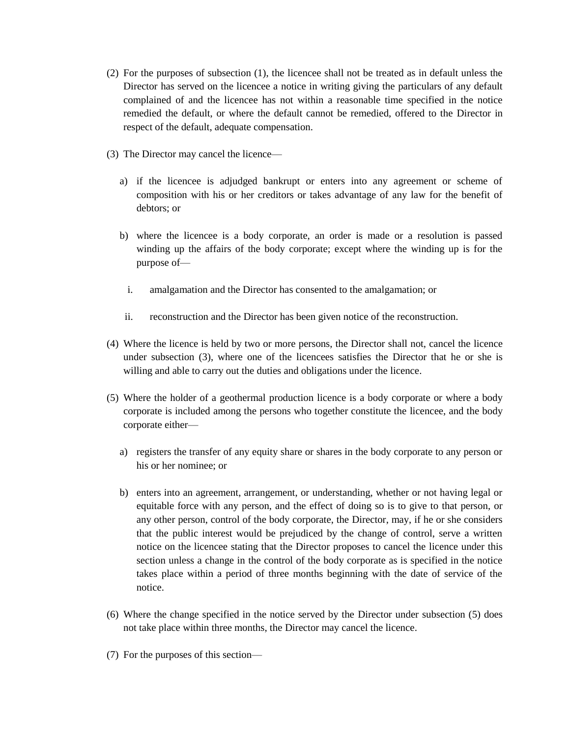- (2) For the purposes of subsection (1), the licencee shall not be treated as in default unless the Director has served on the licencee a notice in writing giving the particulars of any default complained of and the licencee has not within a reasonable time specified in the notice remedied the default, or where the default cannot be remedied, offered to the Director in respect of the default, adequate compensation.
- (3) The Director may cancel the licence
	- a) if the licencee is adjudged bankrupt or enters into any agreement or scheme of composition with his or her creditors or takes advantage of any law for the benefit of debtors; or
	- b) where the licencee is a body corporate, an order is made or a resolution is passed winding up the affairs of the body corporate; except where the winding up is for the purpose of
		- i. amalgamation and the Director has consented to the amalgamation; or
	- ii. reconstruction and the Director has been given notice of the reconstruction.
- (4) Where the licence is held by two or more persons, the Director shall not, cancel the licence under subsection (3), where one of the licencees satisfies the Director that he or she is willing and able to carry out the duties and obligations under the licence.
- (5) Where the holder of a geothermal production licence is a body corporate or where a body corporate is included among the persons who together constitute the licencee, and the body corporate either
	- a) registers the transfer of any equity share or shares in the body corporate to any person or his or her nominee; or
	- b) enters into an agreement, arrangement, or understanding, whether or not having legal or equitable force with any person, and the effect of doing so is to give to that person, or any other person, control of the body corporate, the Director, may, if he or she considers that the public interest would be prejudiced by the change of control, serve a written notice on the licencee stating that the Director proposes to cancel the licence under this section unless a change in the control of the body corporate as is specified in the notice takes place within a period of three months beginning with the date of service of the notice.
- (6) Where the change specified in the notice served by the Director under subsection (5) does not take place within three months, the Director may cancel the licence.
- (7) For the purposes of this section—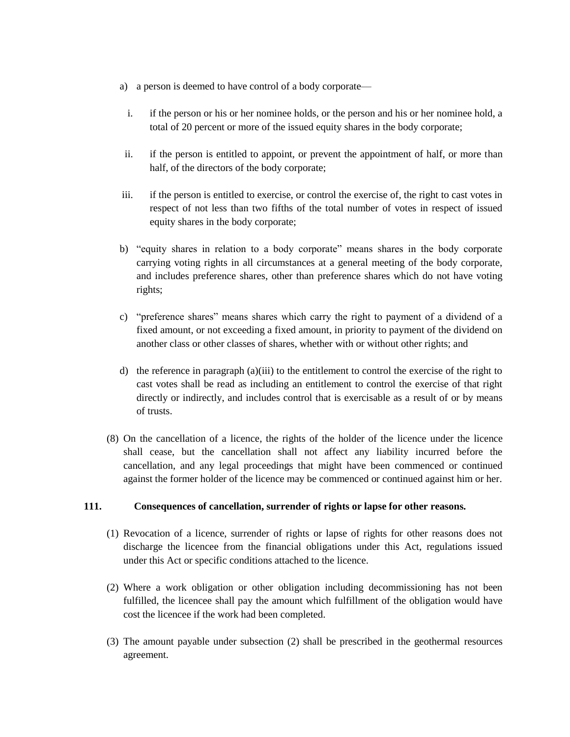- a) a person is deemed to have control of a body corporate
	- i. if the person or his or her nominee holds, or the person and his or her nominee hold, a total of 20 percent or more of the issued equity shares in the body corporate;
- ii. if the person is entitled to appoint, or prevent the appointment of half, or more than half, of the directors of the body corporate;
- iii. if the person is entitled to exercise, or control the exercise of, the right to cast votes in respect of not less than two fifths of the total number of votes in respect of issued equity shares in the body corporate;
- b) "equity shares in relation to a body corporate" means shares in the body corporate carrying voting rights in all circumstances at a general meeting of the body corporate, and includes preference shares, other than preference shares which do not have voting rights;
- c) "preference shares" means shares which carry the right to payment of a dividend of a fixed amount, or not exceeding a fixed amount, in priority to payment of the dividend on another class or other classes of shares, whether with or without other rights; and
- d) the reference in paragraph (a)(iii) to the entitlement to control the exercise of the right to cast votes shall be read as including an entitlement to control the exercise of that right directly or indirectly, and includes control that is exercisable as a result of or by means of trusts.
- (8) On the cancellation of a licence, the rights of the holder of the licence under the licence shall cease, but the cancellation shall not affect any liability incurred before the cancellation, and any legal proceedings that might have been commenced or continued against the former holder of the licence may be commenced or continued against him or her.

# **111. Consequences of cancellation, surrender of rights or lapse for other reasons.**

- (1) Revocation of a licence, surrender of rights or lapse of rights for other reasons does not discharge the licencee from the financial obligations under this Act, regulations issued under this Act or specific conditions attached to the licence.
- (2) Where a work obligation or other obligation including decommissioning has not been fulfilled, the licencee shall pay the amount which fulfillment of the obligation would have cost the licencee if the work had been completed.
- (3) The amount payable under subsection (2) shall be prescribed in the geothermal resources agreement.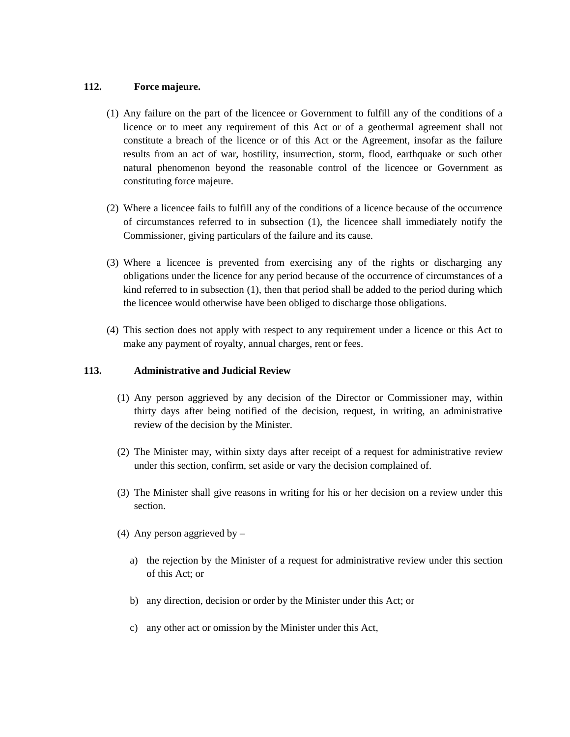# **112. Force majeure.**

- (1) Any failure on the part of the licencee or Government to fulfill any of the conditions of a licence or to meet any requirement of this Act or of a geothermal agreement shall not constitute a breach of the licence or of this Act or the Agreement, insofar as the failure results from an act of war, hostility, insurrection, storm, flood, earthquake or such other natural phenomenon beyond the reasonable control of the licencee or Government as constituting force majeure.
- (2) Where a licencee fails to fulfill any of the conditions of a licence because of the occurrence of circumstances referred to in subsection (1), the licencee shall immediately notify the Commissioner, giving particulars of the failure and its cause.
- (3) Where a licencee is prevented from exercising any of the rights or discharging any obligations under the licence for any period because of the occurrence of circumstances of a kind referred to in subsection (1), then that period shall be added to the period during which the licencee would otherwise have been obliged to discharge those obligations.
- (4) This section does not apply with respect to any requirement under a licence or this Act to make any payment of royalty, annual charges, rent or fees.

# **113. Administrative and Judicial Review**

- (1) Any person aggrieved by any decision of the Director or Commissioner may, within thirty days after being notified of the decision, request, in writing, an administrative review of the decision by the Minister.
- (2) The Minister may, within sixty days after receipt of a request for administrative review under this section, confirm, set aside or vary the decision complained of.
- (3) The Minister shall give reasons in writing for his or her decision on a review under this section.
- (4) Any person aggrieved by
	- a) the rejection by the Minister of a request for administrative review under this section of this Act; or
	- b) any direction, decision or order by the Minister under this Act; or
	- c) any other act or omission by the Minister under this Act,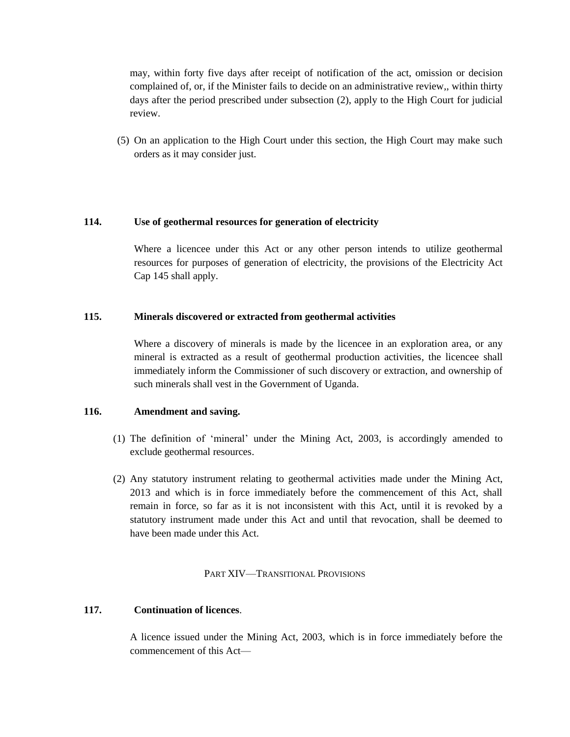may, within forty five days after receipt of notification of the act, omission or decision complained of, or, if the Minister fails to decide on an administrative review,, within thirty days after the period prescribed under subsection (2), apply to the High Court for judicial review.

(5) On an application to the High Court under this section, the High Court may make such orders as it may consider just.

# **114. Use of geothermal resources for generation of electricity**

Where a licencee under this Act or any other person intends to utilize geothermal resources for purposes of generation of electricity, the provisions of the Electricity Act Cap 145 shall apply.

# **115. Minerals discovered or extracted from geothermal activities**

Where a discovery of minerals is made by the licencee in an exploration area, or any mineral is extracted as a result of geothermal production activities, the licencee shall immediately inform the Commissioner of such discovery or extraction, and ownership of such minerals shall vest in the Government of Uganda.

# **116. Amendment and saving.**

- (1) The definition of 'mineral' under the Mining Act, 2003, is accordingly amended to exclude geothermal resources.
- (2) Any statutory instrument relating to geothermal activities made under the Mining Act, 2013 and which is in force immediately before the commencement of this Act, shall remain in force, so far as it is not inconsistent with this Act, until it is revoked by a statutory instrument made under this Act and until that revocation, shall be deemed to have been made under this Act.

# PART XIV—TRANSITIONAL PROVISIONS

# **117. Continuation of licences**.

A licence issued under the Mining Act, 2003, which is in force immediately before the commencement of this Act—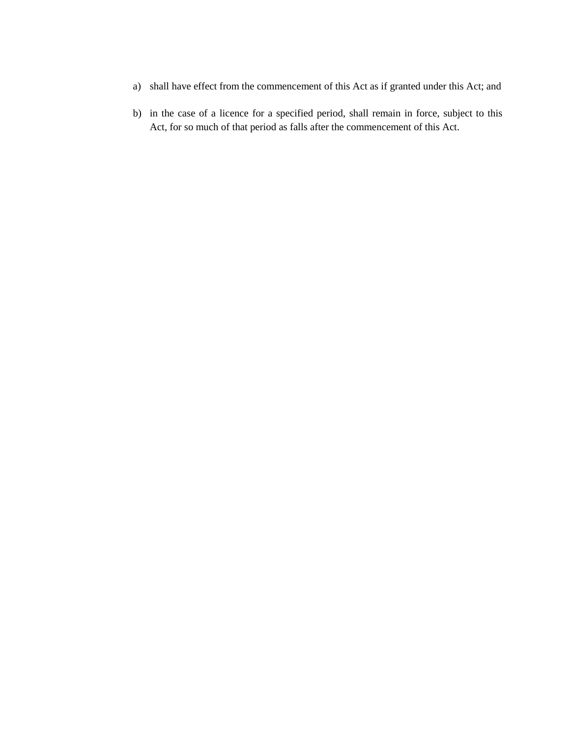- a) shall have effect from the commencement of this Act as if granted under this Act; and
- b) in the case of a licence for a specified period, shall remain in force, subject to this Act, for so much of that period as falls after the commencement of this Act.